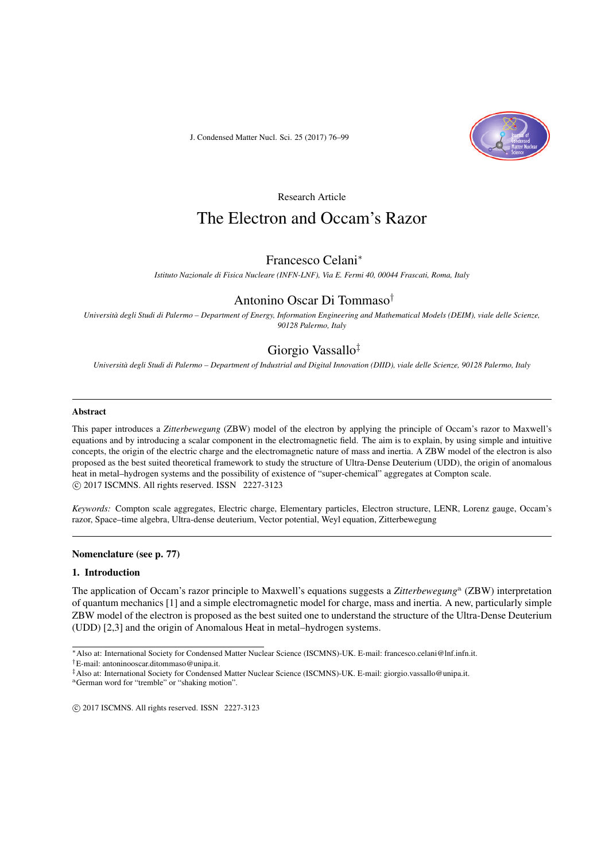J. Condensed Matter Nucl. Sci. 25 (2017) 76–99



Research Article

# The Electron and Occam's Razor

# Francesco Celani*<sup>∗</sup>*

*Istituto Nazionale di Fisica Nucleare (INFN-LNF), Via E. Fermi 40, 00044 Frascati, Roma, Italy*

# Antonino Oscar Di Tommaso*†*

*Università degli Studi di Palermo – Department of Energy, Information Engineering and Mathematical Models (DEIM), viale delle Scienze, 90128 Palermo, Italy*

# Giorgio Vassallo*‡*

*Università degli Studi di Palermo – Department of Industrial and Digital Innovation (DIID), viale delle Scienze, 90128 Palermo, Italy*

## Abstract

This paper introduces a *Zitterbewegung* (ZBW) model of the electron by applying the principle of Occam's razor to Maxwell's equations and by introducing a scalar component in the electromagnetic field. The aim is to explain, by using simple and intuitive concepts, the origin of the electric charge and the electromagnetic nature of mass and inertia. A ZBW model of the electron is also proposed as the best suited theoretical framework to study the structure of Ultra-Dense Deuterium (UDD), the origin of anomalous heat in metal–hydrogen systems and the possibility of existence of "super-chemical" aggregates at Compton scale. *⃝*c 2017 ISCMNS. All rights reserved. ISSN 2227-3123

*Keywords:* Compton scale aggregates, Electric charge, Elementary particles, Electron structure, LENR, Lorenz gauge, Occam's razor, Space–time algebra, Ultra-dense deuterium, Vector potential, Weyl equation, Zitterbewegung

# Nomenclature (see p. 77)

## 1. Introduction

The application of Occam's razor principle to Maxwell's equations suggests a Zitterbewegung<sup>a</sup> (ZBW) interpretation of quantum mechanics [1] and a simple electromagnetic model for charge, mass and inertia. A new, particularly simple ZBW model of the electron is proposed as the best suited one to understand the structure of the Ultra-Dense Deuterium (UDD) [2,3] and the origin of Anomalous Heat in metal–hydrogen systems.

*<sup>∗</sup>*Also at: International Society for Condensed Matter Nuclear Science (ISCMNS)-UK. E-mail: francesco.celani@lnf.infn.it.

*<sup>†</sup>*E-mail: antoninooscar.ditommaso@unipa.it.

*<sup>‡</sup>*Also at: International Society for Condensed Matter Nuclear Science (ISCMNS)-UK. E-mail: giorgio.vassallo@unipa.it.

<sup>a</sup>German word for "tremble" or "shaking motion".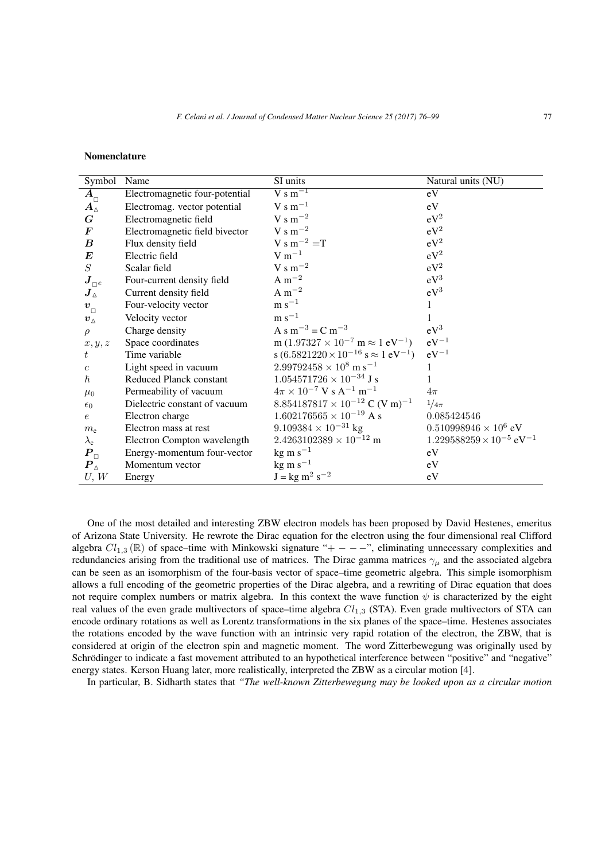# Nomenclature

| Symbol                       | Name                           | SI units                                                            | Natural units (NU)                            |
|------------------------------|--------------------------------|---------------------------------------------------------------------|-----------------------------------------------|
| $A_{\Box}$                   | Electromagnetic four-potential | $V s m^{-1}$                                                        | eV                                            |
| $\bm{A}_\Delta$              | Electromag. vector potential   | $V s m^{-1}$                                                        | eV                                            |
| $\boldsymbol{G}$             | Electromagnetic field          | V s m <sup><math>-2</math></sup>                                    | $eV^2$                                        |
| $\bm{F}$                     | Electromagnetic field bivector | $V s m^{-2}$                                                        | $eV^2$                                        |
| $\boldsymbol{B}$             | Flux density field             | $V \, \text{s} \, \text{m}^{-2} = T$                                | $eV^2$                                        |
| $\bm{E}$                     | Electric field                 | $V m^{-1}$                                                          | $eV^2$                                        |
| S                            | Scalar field                   | V s m <sup><math>-2</math></sup>                                    | $eV^2$                                        |
| $\boldsymbol{J}_{\square e}$ | Four-current density field     | $A m^{-2}$                                                          | $eV^3$                                        |
| $\bm{J}_\Delta$              | Current density field          | $A m^{-2}$                                                          | $eV^3$                                        |
| $\boldsymbol{v}_{_\Box}$     | Four-velocity vector           | $\rm m~s^{-1}$                                                      | 1                                             |
| $\boldsymbol{v}_{\Delta}$    | Velocity vector                | $\rm m~s^{-1}$                                                      |                                               |
| $\rho$                       | Charge density                 | A s m <sup>-3</sup> = C m <sup>-3</sup>                             | $eV^3$                                        |
| $x,y,z$                      | Space coordinates              | m $(1.97327 \times 10^{-7} \text{ m} \approx 1 \text{ eV}^{-1})$    | $eV^{-1}$                                     |
| t                            | Time variable                  | s $(6.5821220 \times 10^{-16} \text{ s} \approx 1 \text{ eV}^{-1})$ | $eV^{-1}$                                     |
| $\boldsymbol{c}$             | Light speed in vacuum          | $2.99792458 \times 10^8$ m s <sup>-1</sup>                          | 1                                             |
| $\hbar$                      | Reduced Planck constant        | $1.054571726\times10^{-34}$ J s                                     |                                               |
| $\mu_0$                      | Permeability of vacuum         | $4\pi \times 10^{-7}$ V s A <sup>-1</sup> m <sup>-1</sup>           | $4\pi$                                        |
| $\epsilon_0$                 | Dielectric constant of vacuum  | 8.854187817 $\times$ 10 <sup>-12</sup> C (V m) <sup>-1</sup>        | $1/4\pi$                                      |
| $\epsilon$                   | Electron charge                | $1.602176565 \times 10^{-19}$ A s                                   | 0.085424546                                   |
| $m_{\rm e}$                  | Electron mass at rest          | $9.109384 \times 10^{-31}$ kg                                       | $0.510998946 \times 10^6$ eV                  |
| $\lambda_{\rm c}$            | Electron Compton wavelength    | $2.4263102389 \times 10^{-12}$ m                                    | $1.229588259 \times 10^{-5}$ eV <sup>-1</sup> |
| $P_{\Box}$                   | Energy-momentum four-vector    | $kg \text{ m s}^{-1}$                                               | eV                                            |
| $\bm{P}_\Delta$              | Momentum vector                | $kg \text{ m s}^{-1}$                                               | eV                                            |
| U, W                         | Energy                         | $J = kg m2 s-2$                                                     | eV                                            |

One of the most detailed and interesting ZBW electron models has been proposed by David Hestenes, emeritus of Arizona State University. He rewrote the Dirac equation for the electron using the four dimensional real Clifford algebra *Cl*1*,*<sup>3</sup> (R) of space–time with Minkowski signature "+ *− − −*", eliminating unnecessary complexities and redundancies arising from the traditional use of matrices. The Dirac gamma matrices  $\gamma_\mu$  and the associated algebra can be seen as an isomorphism of the four-basis vector of space–time geometric algebra. This simple isomorphism allows a full encoding of the geometric properties of the Dirac algebra, and a rewriting of Dirac equation that does not require complex numbers or matrix algebra. In this context the wave function  $\psi$  is characterized by the eight real values of the even grade multivectors of space–time algebra *Cl*1*,*<sup>3</sup> (STA). Even grade multivectors of STA can encode ordinary rotations as well as Lorentz transformations in the six planes of the space–time. Hestenes associates the rotations encoded by the wave function with an intrinsic very rapid rotation of the electron, the ZBW, that is considered at origin of the electron spin and magnetic moment. The word Zitterbewegung was originally used by Schrödinger to indicate a fast movement attributed to an hypothetical interference between "positive" and "negative" energy states. Kerson Huang later, more realistically, interpreted the ZBW as a circular motion [4].

In particular, B. Sidharth states that *"The well-known Zitterbewegung may be looked upon as a circular motion*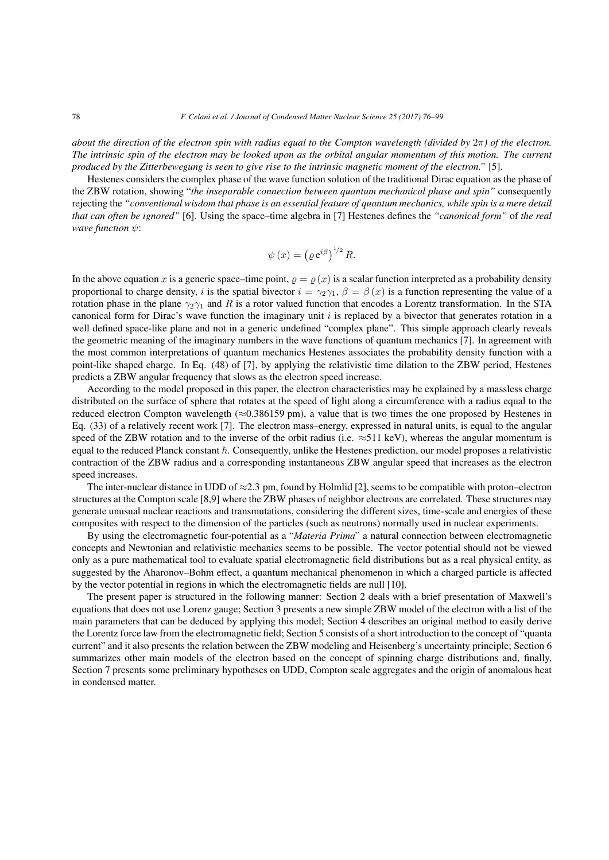*about the direction of the electron spin with radius equal to the Compton wavelength (divided by* 2*π) of the electron. The intrinsic spin of the electron may be looked upon as the orbital angular momentum of this motion. The current produced by the Zitterbewegung is seen to give rise to the intrinsic magnetic moment of the electron."* [5].

Hestenes considers the complex phase of the wave function solution of the traditional Dirac equation as the phase of the ZBW rotation, showing "*the inseparable connection between quantum mechanical phase and spin"* consequently rejecting the *"conventional wisdom that phase is an essential feature of quantum mechanics, while spin is a mere detail that can often be ignored"* [6]. Using the space–time algebra in [7] Hestenes defines the *"canonical form"* of *the real wave function ψ*: *e* an essential featurement in [7]<br>  $\psi(x) = (e^{i\beta})^{1/2}$ 

$$
\psi(x) = \left(\varrho \,\mathrm{e}^{i\beta}\right)^{1/2} R.
$$

In the above equation *x* is a generic space–time point,  $\rho = \rho(x)$  is a scalar function interpreted as a probability density proportional to charge density, *i* is the spatial bivector  $i = \gamma_2 \gamma_1$ ,  $\beta = \beta(x)$  is a function representing the value of a rotation phase in the plane *γ*2*γ*<sup>1</sup> and *R* is a rotor valued function that encodes a Lorentz transformation. In the STA canonical form for Dirac's wave function the imaginary unit *i* is replaced by a bivector that generates rotation in a well defined space-like plane and not in a generic undefined "complex plane". This simple approach clearly reveals the geometric meaning of the imaginary numbers in the wave functions of quantum mechanics [7]. In agreement with the most common interpretations of quantum mechanics Hestenes associates the probability density function with a point-like shaped charge. In Eq. (48) of [7], by applying the relativistic time dilation to the ZBW period, Hestenes predicts a ZBW angular frequency that slows as the electron speed increase.

According to the model proposed in this paper, the electron characteristics may be explained by a massless charge distributed on the surface of sphere that rotates at the speed of light along a circumference with a radius equal to the reduced electron Compton wavelength (*≈*0.386159 pm), a value that is two times the one proposed by Hestenes in Eq. (33) of a relatively recent work [7]. The electron mass–energy, expressed in natural units, is equal to the angular speed of the ZBW rotation and to the inverse of the orbit radius (i.e. ≈511 keV), whereas the angular momentum is equal to the reduced Planck constant  $\hbar$ . Consequently, unlike the Hestenes prediction, our model proposes a relativistic contraction of the ZBW radius and a corresponding instantaneous ZBW angular speed that increases as the electron speed increases.

The inter-nuclear distance in UDD of *≈*2.3 pm, found by Holmlid [2], seems to be compatible with proton–electron structures at the Compton scale [8,9] where the ZBW phases of neighbor electrons are correlated. These structures may generate unusual nuclear reactions and transmutations, considering the different sizes, time-scale and energies of these composites with respect to the dimension of the particles (such as neutrons) normally used in nuclear experiments.

By using the electromagnetic four-potential as a "*Materia Prima*" a natural connection between electromagnetic concepts and Newtonian and relativistic mechanics seems to be possible. The vector potential should not be viewed only as a pure mathematical tool to evaluate spatial electromagnetic field distributions but as a real physical entity, as suggested by the Aharonov–Bohm effect, a quantum mechanical phenomenon in which a charged particle is affected by the vector potential in regions in which the electromagnetic fields are null [10].

The present paper is structured in the following manner: Section 2 deals with a brief presentation of Maxwell's equations that does not use Lorenz gauge; Section 3 presents a new simple ZBW model of the electron with a list of the main parameters that can be deduced by applying this model; Section 4 describes an original method to easily derive the Lorentz force law from the electromagnetic field; Section 5 consists of a short introduction to the concept of "quanta current" and it also presents the relation between the ZBW modeling and Heisenberg's uncertainty principle; Section 6 summarizes other main models of the electron based on the concept of spinning charge distributions and, finally, Section 7 presents some preliminary hypotheses on UDD, Compton scale aggregates and the origin of anomalous heat in condensed matter.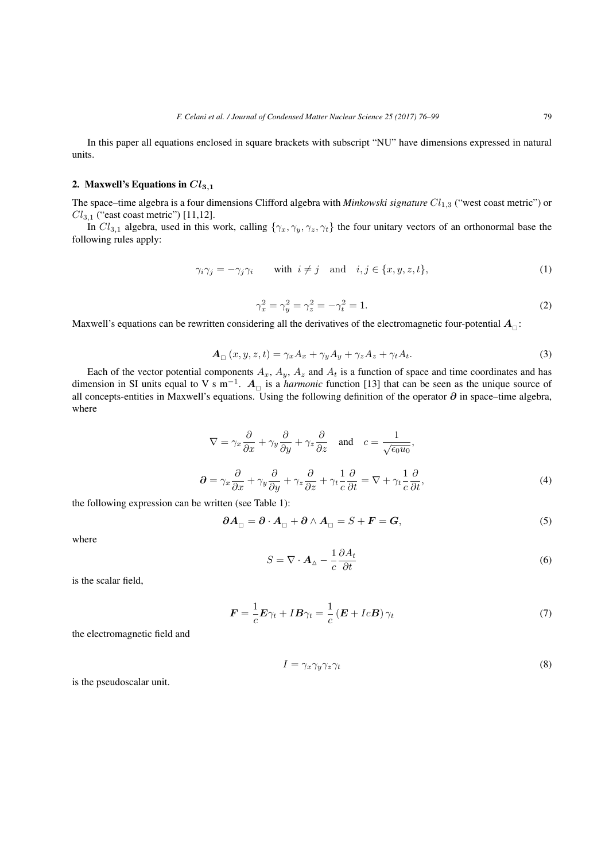In this paper all equations enclosed in square brackets with subscript "NU" have dimensions expressed in natural units.

# 2. Maxwell's Equations in  $Cl_{3,1}$

The space–time algebra is a four dimensions Clifford algebra with *Minkowski signature Cl*1*,*<sup>3</sup> ("west coast metric") or *Cl*3*,*<sup>1</sup> ("east coast metric") [11,12].

In  $Cl_{3,1}$  algebra, used in this work, calling  $\{\gamma_x, \gamma_y, \gamma_z, \gamma_t\}$  the four unitary vectors of an orthonormal base the following rules apply:

$$
\gamma_i \gamma_j = -\gamma_j \gamma_i \quad \text{with } i \neq j \quad \text{and} \quad i, j \in \{x, y, z, t\},\tag{1}
$$

$$
\gamma_x^2 = \gamma_y^2 = \gamma_z^2 = -\gamma_t^2 = 1.
$$
 (2)

Maxwell's equations can be rewritten considering all the derivatives of the electromagnetic four-potential  $A_{_\square}$ :

$$
\mathbf{A}_{\Box}(x, y, z, t) = \gamma_x A_x + \gamma_y A_y + \gamma_z A_z + \gamma_t A_t.
$$
\n(3)

Each of the vector potential components  $A_x$ ,  $A_y$ ,  $A_z$  and  $A_t$  is a function of space and time coordinates and has dimension in SI units equal to V s m*−*<sup>1</sup> . *A* is a *harmonic* function [13] that can be seen as the unique source of all concepts-entities in Maxwell's equations. Using the following definition of the operator *∂* in space–time algebra, where

$$
\nabla = \gamma_x \frac{\partial}{\partial x} + \gamma_y \frac{\partial}{\partial y} + \gamma_z \frac{\partial}{\partial z} \quad \text{and} \quad c = \frac{1}{\sqrt{\epsilon_0 u_0}},
$$
  

$$
\partial = \gamma_x \frac{\partial}{\partial x} + \gamma_y \frac{\partial}{\partial y} + \gamma_z \frac{\partial}{\partial z} + \gamma_t \frac{1}{c} \frac{\partial}{\partial t} = \nabla + \gamma_t \frac{1}{c} \frac{\partial}{\partial t},
$$
(4)

the following expression can be written (see Table 1):

$$
\partial A_{\Box} = \partial \cdot A_{\Box} + \partial \wedge A_{\Box} = S + F = G,\tag{5}
$$

where

$$
S = \nabla \cdot \mathbf{A}_{\Delta} - \frac{1}{c} \frac{\partial A_t}{\partial t} \tag{6}
$$

is the scalar field,

$$
\boldsymbol{F} = \frac{1}{c}\boldsymbol{E}\gamma_t + I\boldsymbol{B}\gamma_t = \frac{1}{c}\left(\boldsymbol{E} + Ic\boldsymbol{B}\right)\gamma_t
$$
\n<sup>(7)</sup>

the electromagnetic field and

$$
I = \gamma_x \gamma_y \gamma_z \gamma_t \tag{8}
$$

is the pseudoscalar unit.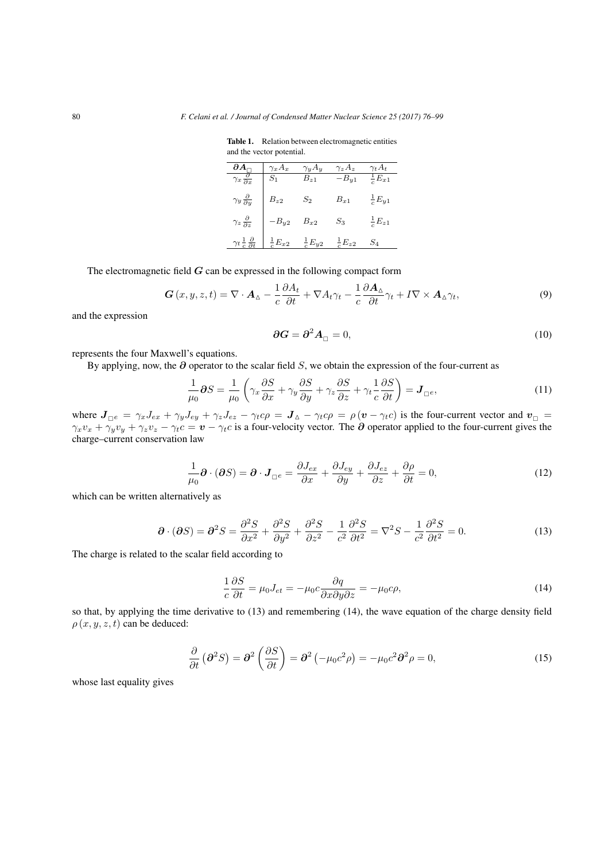Table 1. Relation between electromagnetic entities and the vector potential.

|                                        | $\gamma_x A_x$      | $\gamma_y A_y$      | $\gamma_z A_z$ | $\gamma_t A_t$      |
|----------------------------------------|---------------------|---------------------|----------------|---------------------|
| $\gamma_x \frac{\partial}{\partial x}$ | $\scriptstyle S_1$  | $B_{z1}$            | $-B_{y1}$      | $E_{x1}$            |
| $\gamma_y \frac{\partial}{\partial y}$ | $B_{z2}$            | $S_2$               | $B_{x1}$       | $\frac{1}{c}E_{y1}$ |
| $\gamma_z \frac{\partial}{\partial z}$ | $B_{y2}$            | $B_{x2}$            | $S_3$          | $\frac{1}{c}E_{z1}$ |
| $\gamma_t \frac{1}{\epsilon}$ .        | $\frac{1}{c}E_{x2}$ | $\frac{1}{c}E_{y2}$ | $E_{z2}$       | 5 <sub>4</sub>      |

The electromagnetic field *G* can be expressed in the following compact form

$$
\mathbf{G}\left(x,y,z,t\right) = \nabla \cdot \mathbf{A}_{\Delta} - \frac{1}{c} \frac{\partial A_t}{\partial t} + \nabla A_t \gamma_t - \frac{1}{c} \frac{\partial \mathbf{A}_{\Delta}}{\partial t} \gamma_t + I \nabla \times \mathbf{A}_{\Delta} \gamma_t,\tag{9}
$$

and the expression

$$
\partial G = \partial^2 A_{\square} = 0,\tag{10}
$$

represents the four Maxwell's equations.

By applying, now, the *∂* operator to the scalar field *S*, we obtain the expression of the four-current as

$$
\partial G = \partial^2 A_{\square} = 0,
$$
\n(10)  
\n's equations.  
\noperator to the scalar field *S*, we obtain the expression of the four-current as  
\n
$$
\frac{1}{\mu_0} \partial S = \frac{1}{\mu_0} \left( \gamma_x \frac{\partial S}{\partial x} + \gamma_y \frac{\partial S}{\partial y} + \gamma_z \frac{\partial S}{\partial z} + \gamma_t \frac{1}{c} \frac{\partial S}{\partial t} \right) = J_{\square^e},
$$
\n(11)

where  $J_{\Box e} = \gamma_x J_{ex} + \gamma_y J_{ey} + \gamma_z J_{ez} - \gamma_t c\rho = J_{\Delta} - \gamma_t c\rho = \rho (v - \gamma_t c)$  is the four-current vector and  $v_{\Box}$  $\gamma_x v_x + \gamma_y v_y + \gamma_z v_z - \gamma_t c = \mathbf{v} - \gamma_t c$  is a four-velocity vector. The  $\partial$  operator applied to the four-current gives the charge–current conservation law

$$
\frac{1}{\mu_0} \partial \cdot (\partial S) = \partial \cdot J_{\square^e} = \frac{\partial J_{ex}}{\partial x} + \frac{\partial J_{ey}}{\partial y} + \frac{\partial J_{ez}}{\partial z} + \frac{\partial \rho}{\partial t} = 0, \tag{12}
$$

which can be written alternatively as

$$
\partial \cdot (\partial S) = \partial^2 S = \frac{\partial^2 S}{\partial x^2} + \frac{\partial^2 S}{\partial y^2} + \frac{\partial^2 S}{\partial z^2} - \frac{1}{c^2} \frac{\partial^2 S}{\partial t^2} = \nabla^2 S - \frac{1}{c^2} \frac{\partial^2 S}{\partial t^2} = 0.
$$
\n(13)

The charge is related to the scalar field according to

$$
\frac{1}{c}\frac{\partial S}{\partial t} = \mu_0 J_{et} = -\mu_0 c \frac{\partial q}{\partial x \partial y \partial z} = -\mu_0 c \rho,
$$
\n(14)

so that, by applying the time derivative to (13) and remembering (14), the wave equation of the charge density field  $\rho(x, y, z, t)$  can be deduced:<br>  $\frac{\partial}{\partial t} (\partial^2 S) = \partial^2 (\frac{\partial S}{\partial t}) = \partial^2 (-\mu_0 c^2 \rho) = -\mu_0 c^2 \partial^2 \rho = 0,$  (15)  $\rho(x, y, z, t)$  can be deduced:

$$
\frac{\partial}{\partial t} \left( \partial^2 S \right) = \partial^2 \left( \frac{\partial S}{\partial t} \right) = \partial^2 \left( -\mu_0 c^2 \rho \right) = -\mu_0 c^2 \partial^2 \rho = 0, \tag{15}
$$

whose last equality gives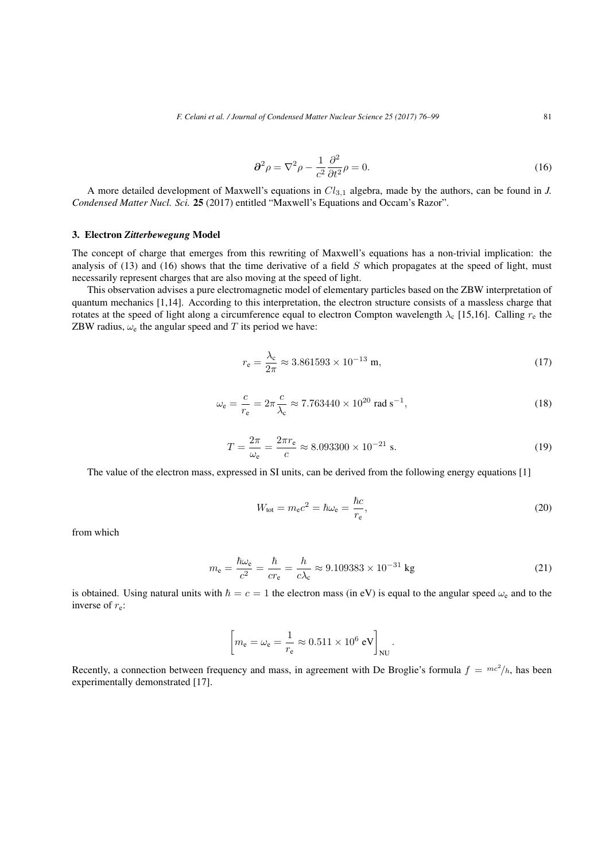$$
\partial^2 \rho = \nabla^2 \rho - \frac{1}{c^2} \frac{\partial^2}{\partial t^2} \rho = 0.
$$
 (16)

A more detailed development of Maxwell's equations in *Cl*3*,*<sup>1</sup> algebra, made by the authors, can be found in *J. Condensed Matter Nucl. Sci.* 25 (2017) entitled "Maxwell's Equations and Occam's Razor".

# 3. Electron *Zitterbewegung* Model

The concept of charge that emerges from this rewriting of Maxwell's equations has a non-trivial implication: the analysis of (13) and (16) shows that the time derivative of a field *S* which propagates at the speed of light, must necessarily represent charges that are also moving at the speed of light.

This observation advises a pure electromagnetic model of elementary particles based on the ZBW interpretation of quantum mechanics [1,14]. According to this interpretation, the electron structure consists of a massless charge that rotates at the speed of light along a circumference equal to electron Compton wavelength  $\lambda_c$  [15,16]. Calling  $r_e$  the ZBW radius,  $\omega_e$  the angular speed and *T* its period we have:

$$
r_{\rm e} = \frac{\lambda_{\rm c}}{2\pi} \approx 3.861593 \times 10^{-13} \,\mathrm{m},\tag{17}
$$

$$
\omega_{\rm e} = \frac{c}{r_{\rm e}} = 2\pi \frac{c}{\lambda_{\rm c}} \approx 7.763440 \times 10^{20} \text{ rad s}^{-1},\tag{18}
$$

$$
T = \frac{2\pi}{\omega_e} = \frac{2\pi r_e}{c} \approx 8.093300 \times 10^{-21} \text{ s.}
$$
 (19)

The value of the electron mass, expressed in SI units, can be derived from the following energy equations [1]

$$
W_{\text{tot}} = m_{\text{e}}c^2 = \hbar\omega_{\text{e}} = \frac{\hbar c}{r_{\text{e}}},\tag{20}
$$

from which

$$
m_{\rm e} = \frac{\hbar \omega_{\rm e}}{c^2} = \frac{\hbar}{cr_{\rm e}} = \frac{h}{c\lambda_{\rm c}} \approx 9.109383 \times 10^{-31} \text{ kg}
$$
 (21)

is obtained. Using natural units with  $\hbar = c = 1$  the electron mass (in eV) is equal to the angular speed  $\omega_e$  and to the inverse of *r*e:  $\begin{bmatrix}eV\end{bmatrix}$ 

$$
\left[ m_{\rm e} = \omega_{\rm e} = \frac{1}{r_{\rm e}} \approx 0.511 \times 10^6 \text{ eV} \right]_{\rm NU}.
$$

Recently, a connection between frequency and mass, in agreement with De Broglie's formula  $f = mc^2/h$ , has been experimentally demonstrated [17].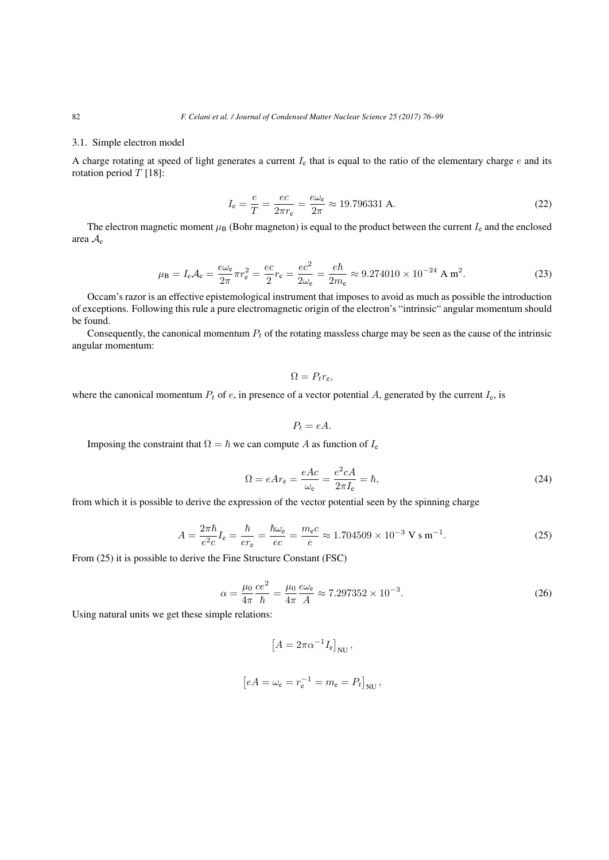# 3.1. Simple electron model

A charge rotating at speed of light generates a current *I*<sup>e</sup> that is equal to the ratio of the elementary charge *e* and its rotation period *T* [18]:

$$
I_{\rm e} = \frac{e}{T} = \frac{ec}{2\pi r_{\rm e}} = \frac{e\omega_{\rm e}}{2\pi} \approx 19.796331 \text{ A.}
$$
 (22)

The electron magnetic moment  $\mu_B$  (Bohr magneton) is equal to the product between the current  $I_e$  and the enclosed area *A*<sup>e</sup>

$$
\mu_{\rm B} = I_{\rm e}A_{\rm e} = \frac{e\omega_{\rm e}}{2\pi}\pi r_{\rm e}^2 = \frac{ec}{2}r_{\rm e} = \frac{ec^2}{2\omega_{\rm e}} = \frac{e\hbar}{2m_{\rm e}} \approx 9.274010 \times 10^{-24} \text{ A m}^2. \tag{23}
$$

Occam's razor is an effective epistemological instrument that imposes to avoid as much as possible the introduction of exceptions. Following this rule a pure electromagnetic origin of the electron's "intrinsic" angular momentum should be found.

Consequently, the canonical momentum *P<sup>t</sup>* of the rotating massless charge may be seen as the cause of the intrinsic angular momentum:

$$
\Omega = P_t r_e,
$$

where the canonical momentum  $P_t$  of *e*, in presence of a vector potential *A*, generated by the current  $I_e$ , is

$$
P_t = eA.
$$

Imposing the constraint that  $\Omega = \hbar$  we can compute *A* as function of  $I_e$ 

$$
\Omega = eAr_{\rm e} = \frac{eAc}{\omega_{\rm e}} = \frac{e^2cA}{2\pi I_{\rm e}} = \hbar,\tag{24}
$$

from which it is possible to derive the expression of the vector potential seen by the spinning charge

$$
A = \frac{2\pi\hbar}{e^2 c} I_e = \frac{\hbar}{er_e} = \frac{\hbar\omega_e}{ec} = \frac{m_e c}{e} \approx 1.704509 \times 10^{-3} \text{ V s m}^{-1}.
$$
 (25)

From (25) it is possible to derive the Fine Structure Constant (FSC)

$$
\alpha = \frac{\mu_0}{4\pi} \frac{ce^2}{\hbar} = \frac{\mu_0}{4\pi} \frac{e\omega_e}{A} \approx 7.297352 \times 10^{-3}.
$$
 (26)

Using natural units we get these simple relations:

$$
\left[A=2\pi\alpha^{-1}I_{\rm e}\right]_{\rm NU},
$$
  

$$
eA=\omega_{\rm e}=r_{\rm e}^{-1}=m_{\rm e}=P_t\big]_{\rm NU},
$$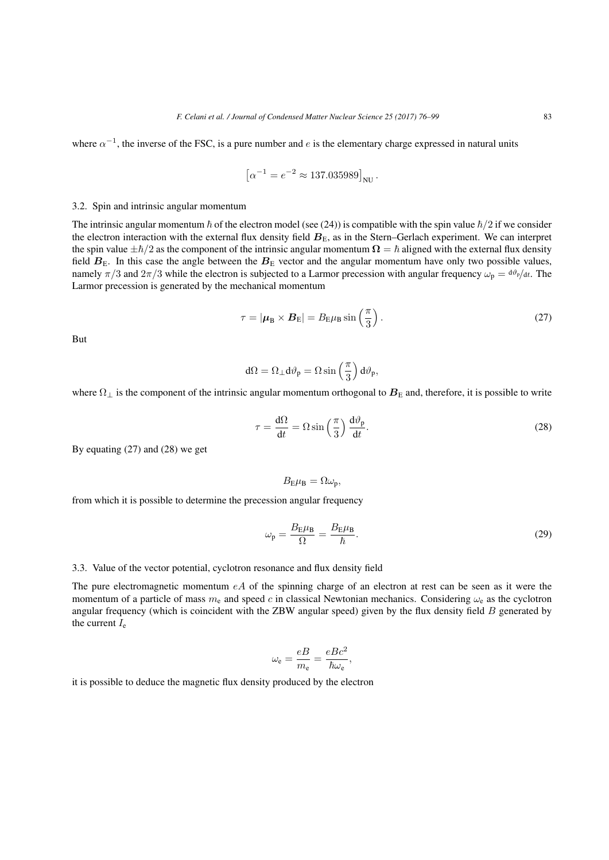where  $\alpha^{-1}$ , the inverse of the FSC, is a pure number and *e* is the elementary charge expressed in natural units

The number of the number of sides is the elementary  
\n
$$
\left[\alpha^{-1} = e^{-2} \approx 137.035989\right]_{\text{NU}}.
$$

# 3.2. Spin and intrinsic angular momentum

The intrinsic angular momentum  $\hbar$  of the electron model (see (24)) is compatible with the spin value  $\hbar/2$  if we consider the electron interaction with the external flux density field  $B<sub>E</sub>$ , as in the Stern–Gerlach experiment. We can interpret the spin value  $\pm \hbar/2$  as the component of the intrinsic angular momentum  $\Omega = \hbar$  aligned with the external flux density field  $B_{\rm E}$ . In this case the angle between the  $B_{\rm E}$  vector and the angular momentum have only two possible values, namely  $\pi/3$  and  $2\pi/3$  while the electron is subjected to a Larmor precession with angular frequency  $\omega_p = d\theta_p/dt$ . The Larmor precession is generated by the mechanical momentum *τ n***<sub>E</sub>** *<i>B***<sub>E</sub>** *v***ector and the angular is subjected to a Larmor precess echanical momentum<br>** $\tau = |\mu_B \times B_E| = B_E \mu_B \sin\left(\frac{\pi}{2}\right)$ 

$$
\tau = |\boldsymbol{\mu}_{\text{B}} \times \boldsymbol{B}_{\text{E}}| = B_{\text{E}} \mu_{\text{B}} \sin\left(\frac{\pi}{3}\right). \tag{27}
$$

But

$$
\begin{array}{l} \mathcal{L} = |\boldsymbol{\mu}_{\text{B}} \times \boldsymbol{B}_{\text{E}}| = B_{\text{E}} \mu_{\text{B}} \sin\left(\frac{\pi}{3}\right) \\\\ \text{d}\Omega = \Omega_{\perp} \text{d}\vartheta_{\text{p}} = \Omega \sin\left(\frac{\pi}{3}\right) \text{d}\vartheta_{\text{p}}, \end{array}
$$

where  $\Omega_{\perp}$  is the component of the intrinsic angular momentum orthogonal to  $B_{\rm E}$  and, therefore, it is possible to write

$$
Q = \Omega_{\perp} d\vartheta_{p} = \Omega \sin\left(\frac{\pi}{3}\right) d\vartheta_{p},
$$
  
ngular momentum orthogonal to  $\mathbf{B}_{E}$  and, therefore, it is possible to write  

$$
\tau = \frac{d\Omega}{dt} = \Omega \sin\left(\frac{\pi}{3}\right) \frac{d\vartheta_{p}}{dt}.
$$
 (28)

By equating (27) and (28) we get

$$
B_{\rm E}\mu_{\rm B}=\Omega\omega_{\rm p},
$$

from which it is possible to determine the precession angular frequency

$$
\omega_{\rm p} = \frac{B_{\rm E} \mu_{\rm B}}{\Omega} = \frac{B_{\rm E} \mu_{\rm B}}{\hbar}.
$$
\n(29)

## 3.3. Value of the vector potential, cyclotron resonance and flux density field

The pure electromagnetic momentum *eA* of the spinning charge of an electron at rest can be seen as it were the momentum of a particle of mass  $m_e$  and speed c in classical Newtonian mechanics. Considering  $\omega_e$  as the cyclotron angular frequency (which is coincident with the ZBW angular speed) given by the flux density field *B* generated by the current  $I_e$ 

$$
\omega_{\rm e} = \frac{eB}{m_{\rm e}} = \frac{eBc^2}{\hbar\omega_{\rm e}},
$$

it is possible to deduce the magnetic flux density produced by the electron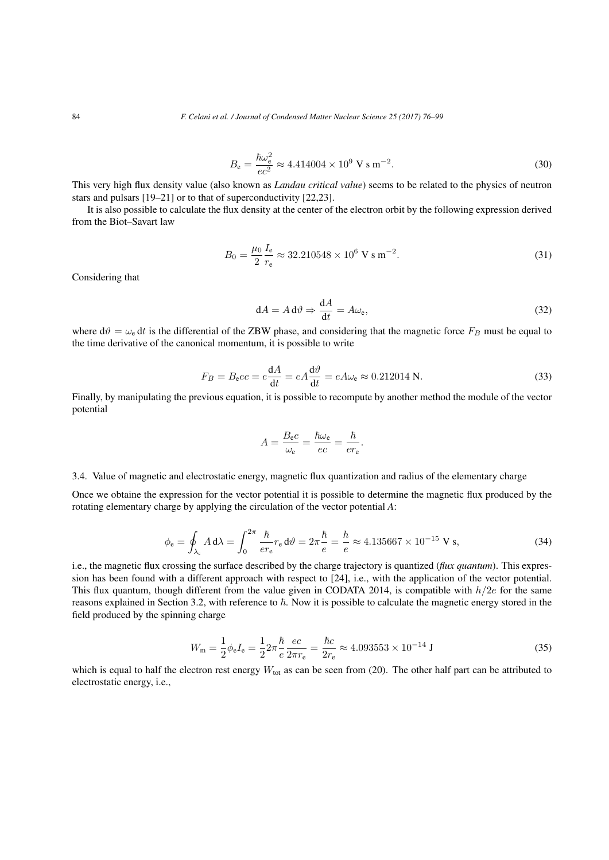$$
B_{\rm e} = \frac{\hbar\omega_{\rm e}^2}{ec^2} \approx 4.414004 \times 10^9 \,\text{V s m}^{-2}.\tag{30}
$$

This very high flux density value (also known as *Landau critical value*) seems to be related to the physics of neutron stars and pulsars [19–21] or to that of superconductivity [22,23].

It is also possible to calculate the flux density at the center of the electron orbit by the following expression derived from the Biot–Savart law

$$
B_0 = \frac{\mu_0}{2} \frac{I_e}{r_e} \approx 32.210548 \times 10^6 \text{ V s m}^{-2}.
$$
 (31)

Considering that

$$
dA = A d\vartheta \Rightarrow \frac{dA}{dt} = A\omega_e,
$$
\n(32)

where  $d\theta = \omega_e dt$  is the differential of the ZBW phase, and considering that the magnetic force  $F_B$  must be equal to the time derivative of the canonical momentum, it is possible to write

$$
F_B = B_e e c = e \frac{dA}{dt} = e A \frac{d\vartheta}{dt} = e A \omega_e \approx 0.212014 \text{ N.}
$$
\n(33)

Finally, by manipulating the previous equation, it is possible to recompute by another method the module of the vector potential

$$
A = \frac{B_{\rm e}c}{\omega_{\rm e}} = \frac{\hbar\omega_{\rm e}}{ec} = \frac{\hbar}{er_{\rm e}}.
$$

# 3.4. Value of magnetic and electrostatic energy, magnetic flux quantization and radius of the elementary charge

Once we obtaine the expression for the vector potential it is possible to determine the magnetic flux produced by the rotating elementary charge by applying the circulation of the vector potential *A*:

$$
\phi_{\mathbf{e}} = \oint_{\lambda_{\mathbf{c}}} A \, d\lambda = \int_0^{2\pi} \frac{\hbar}{er_{\mathbf{e}}} r_{\mathbf{e}} \, d\vartheta = 2\pi \frac{\hbar}{e} = \frac{\hbar}{e} \approx 4.135667 \times 10^{-15} \text{ V s},\tag{34}
$$

i.e., the magnetic flux crossing the surface described by the charge trajectory is quantized (*flux quantum*). This expression has been found with a different approach with respect to [24], i.e., with the application of the vector potential. This flux quantum, though different from the value given in CODATA 2014, is compatible with *h/*2*e* for the same reasons explained in Section 3.2, with reference to  $\hbar$ . Now it is possible to calculate the magnetic energy stored in the field produced by the spinning charge

$$
W_{\rm m} = \frac{1}{2}\phi_{\rm e}I_{\rm e} = \frac{1}{2}2\pi \frac{\hbar}{e} \frac{ec}{2\pi r_{\rm e}} = \frac{\hbar c}{2r_{\rm e}} \approx 4.093553 \times 10^{-14} \text{ J}
$$
\n(35)

which is equal to half the electron rest energy  $W_{\text{tot}}$  as can be seen from (20). The other half part can be attributed to electrostatic energy, i.e.,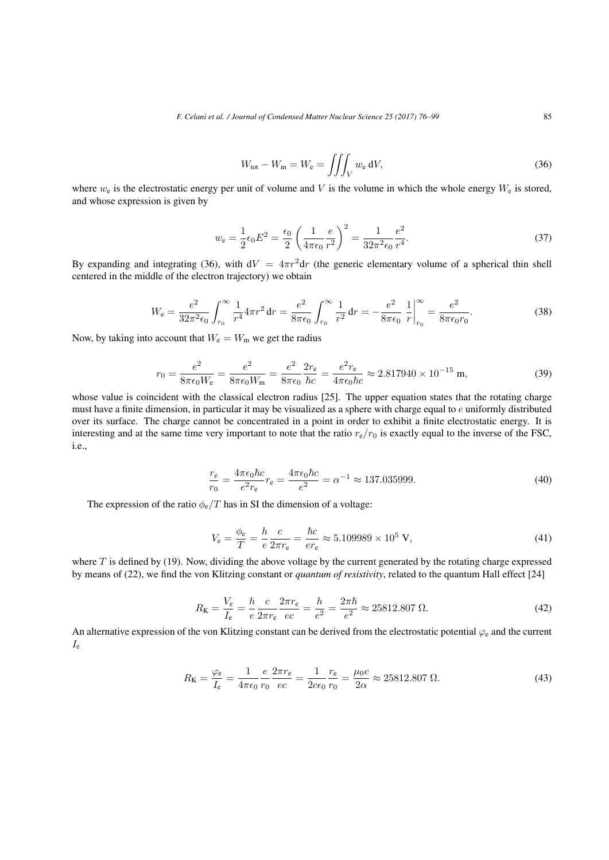*F. Celani et al. / Journal of Condensed Matter Nuclear Science 25 (2017) 76–99* 85

$$
W_{\text{tot}} - W_{\text{m}} = W_{\text{e}} = \iiint_{V} w_{\text{e}} \, dV,
$$
\n(36)

where  $w_e$  is the electrostatic energy per unit of volume and *V* is the volume in which the whole energy  $W_e$  is stored, and whose expression is given by

$$
w_{e} = \frac{1}{2}\epsilon_{0}E^{2} = \frac{\epsilon_{0}}{2}\left(\frac{1}{4\pi\epsilon_{0}}\frac{e}{r^{2}}\right)^{2} = \frac{1}{32\pi^{2}\epsilon_{0}}\frac{e^{2}}{r^{4}}.
$$
 (37)

By expanding and integrating (36), with  $dV = 4\pi r^2 dr$  (the generic elementary volume of a spherical thin shell centered in the middle of the electron trajectory) we obtain  $f$ ), with  $dV = 4\pi r^2 dr$  (the generic elementary

$$
W_{\rm e} = \frac{e^2}{32\pi^2 \epsilon_0} \int_{r_0}^{\infty} \frac{1}{r^4} 4\pi r^2 dr = \frac{e^2}{8\pi \epsilon_0} \int_{r_0}^{\infty} \frac{1}{r^2} dr = -\frac{e^2}{8\pi \epsilon_0} \left. \frac{1}{r} \right|_{r_0}^{\infty} = \frac{e^2}{8\pi \epsilon_0 r_0}.
$$
 (38)

Now, by taking into account that  $W_e = W_m$  we get the radius

$$
r_0 = \frac{e^2}{8\pi\epsilon_0 W_e} = \frac{e^2}{8\pi\epsilon_0 W_m} = \frac{e^2}{8\pi\epsilon_0} \frac{2r_e}{\hbar c} = \frac{e^2 r_e}{4\pi\epsilon_0 \hbar c} \approx 2.817940 \times 10^{-15} \text{ m},\tag{39}
$$

whose value is coincident with the classical electron radius [25]. The upper equation states that the rotating charge must have a finite dimension, in particular it may be visualized as a sphere with charge equal to *e* uniformly distributed over its surface. The charge cannot be concentrated in a point in order to exhibit a finite electrostatic energy. It is interesting and at the same time very important to note that the ratio  $r_e/r_0$  is exactly equal to the inverse of the FSC, i.e.,

$$
\frac{r_{\rm e}}{r_0} = \frac{4\pi\epsilon_0\hbar c}{e^2r_{\rm e}}r_{\rm e} = \frac{4\pi\epsilon_0\hbar c}{e^2} = \alpha^{-1} \approx 137.035999.
$$
\n(40)

The expression of the ratio  $\phi_e/T$  has in SI the dimension of a voltage:

$$
V_{\rm e} = \frac{\phi_{\rm e}}{T} = \frac{h}{e} \frac{c}{2\pi r_{\rm e}} = \frac{\hbar c}{er_{\rm e}} \approx 5.109989 \times 10^5 \text{ V},\tag{41}
$$

where  $T$  is defined by (19). Now, dividing the above voltage by the current generated by the rotating charge expressed by means of (22), we find the von Klitzing constant or *quantum of resistivity*, related to the quantum Hall effect [24]

$$
R_{\rm K} = \frac{V_{\rm e}}{I_{\rm e}} = \frac{h}{e} \frac{c}{2\pi r_{\rm e}} \frac{2\pi r_{\rm e}}{ec} = \frac{h}{e^2} = \frac{2\pi \hbar}{e^2} \approx 25812.807 \ \Omega. \tag{42}
$$

An alternative expression of the von Klitzing constant can be derived from the electrostatic potential  $\varphi_e$  and the current  $I_{\rm e}$ 

$$
R_{\rm K} = \frac{\varphi_{\rm e}}{I_{\rm e}} = \frac{1}{4\pi\epsilon_0} \frac{e}{r_0} \frac{2\pi r_{\rm e}}{ec} = \frac{1}{2c\epsilon_0} \frac{r_{\rm e}}{r_0} = \frac{\mu_0 c}{2\alpha} \approx 25812.807 \ \Omega. \tag{43}
$$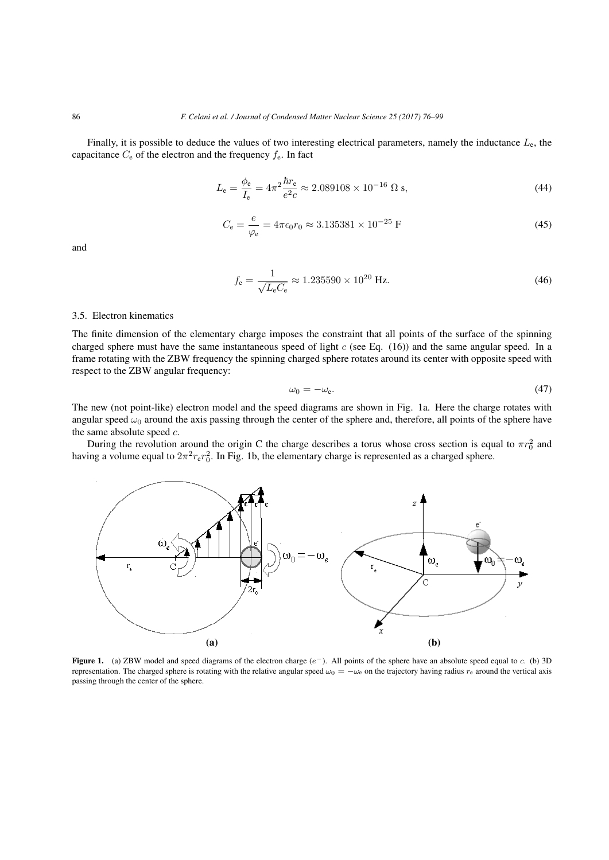Finally, it is possible to deduce the values of two interesting electrical parameters, namely the inductance *L*e, the capacitance  $C_e$  of the electron and the frequency  $f_e$ . In fact

$$
L_{\rm e} = \frac{\phi_{\rm e}}{I_{\rm e}} = 4\pi^2 \frac{\hbar r_{\rm e}}{e^2 c} \approx 2.089108 \times 10^{-16} \,\Omega \,\text{s},\tag{44}
$$

$$
C_{\rm e} = \frac{e}{\varphi_{\rm e}} = 4\pi\epsilon_0 r_0 \approx 3.135381 \times 10^{-25} \text{ F}
$$
 (45)

and

$$
f_{\rm e} = \frac{1}{\sqrt{L_{\rm e}C_{\rm e}}} \approx 1.235590 \times 10^{20} \text{ Hz.}
$$
 (46)

#### 3.5. Electron kinematics

The finite dimension of the elementary charge imposes the constraint that all points of the surface of the spinning charged sphere must have the same instantaneous speed of light *c* (see Eq. (16)) and the same angular speed. In a frame rotating with the ZBW frequency the spinning charged sphere rotates around its center with opposite speed with respect to the ZBW angular frequency:

$$
\omega_0 = -\omega_e. \tag{47}
$$

The new (not point-like) electron model and the speed diagrams are shown in Fig. 1a. Here the charge rotates with angular speed  $\omega_0$  around the axis passing through the center of the sphere and, therefore, all points of the sphere have the same absolute speed *c*.

During the revolution around the origin C the charge describes a torus whose cross section is equal to  $\pi r_0^2$  and having a volume equal to  $2\pi^2 r_e r_0^2$ . In Fig. 1b, the elementary charge is represented as a charged sphere.



Figure 1. (a) ZBW model and speed diagrams of the electron charge (*e−*). All points of the sphere have an absolute speed equal to *c*. (b) 3D representation. The charged sphere is rotating with the relative angular speed  $\omega_0 = -\omega_e$  on the trajectory having radius  $r_e$  around the vertical axis passing through the center of the sphere.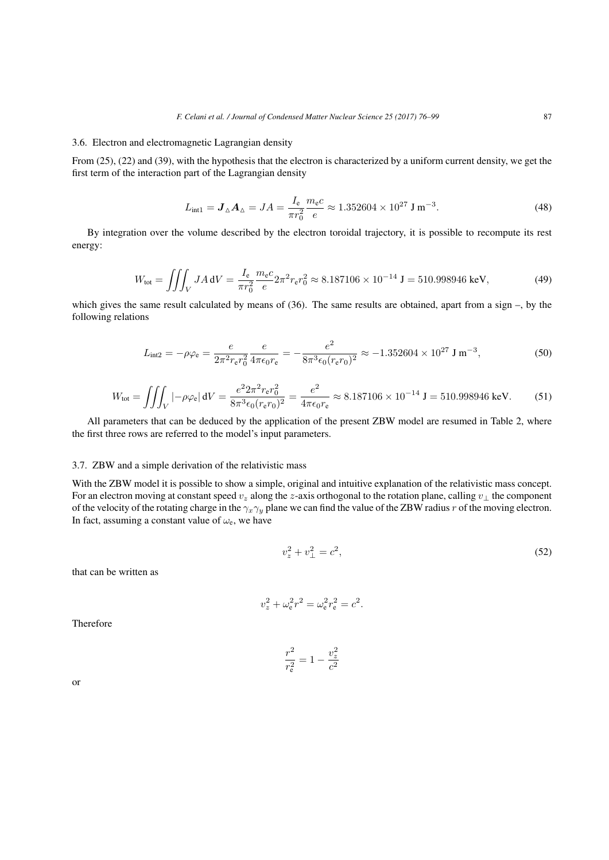# 3.6. Electron and electromagnetic Lagrangian density

From (25), (22) and (39), with the hypothesis that the electron is characterized by a uniform current density, we get the first term of the interaction part of the Lagrangian density

$$
L_{\text{int1}} = \mathbf{J}_{\Delta} \mathbf{A}_{\Delta} = JA = \frac{I_{\text{e}}}{\pi r_0^2} \frac{m_{\text{e}}c}{e} \approx 1.352604 \times 10^{27} \text{ J m}^{-3}.
$$
 (48)

By integration over the volume described by the electron toroidal trajectory, it is possible to recompute its rest energy:

$$
W_{\text{tot}} = \iiint_V J A \, \mathrm{d}V = \frac{I_e}{\pi r_0^2} \frac{m_e c}{e} 2\pi^2 r_e r_0^2 \approx 8.187106 \times 10^{-14} \, \text{J} = 510.998946 \, \text{keV},\tag{49}
$$

which gives the same result calculated by means of (36). The same results are obtained, apart from a sign –, by the following relations

$$
L_{\text{int2}} = -\rho \varphi_{\text{e}} = \frac{e}{2\pi^2 r_{\text{e}} r_0^2} \frac{e}{4\pi \epsilon_0 r_{\text{e}}} = -\frac{e^2}{8\pi^3 \epsilon_0 (r_{\text{e}} r_0)^2} \approx -1.352604 \times 10^{27} \text{ J m}^{-3},\tag{50}
$$

$$
W_{\text{tot}} = \iiint_V |-\rho \varphi_e| \, dV = \frac{e^2 2\pi^2 r_e r_0^2}{8\pi^3 \epsilon_0 (r_e r_0)^2} = \frac{e^2}{4\pi \epsilon_0 r_e} \approx 8.187106 \times 10^{-14} \, \text{J} = 510.998946 \, \text{keV}.
$$
 (51)

All parameters that can be deduced by the application of the present ZBW model are resumed in Table 2, where the first three rows are referred to the model's input parameters.

# 3.7. ZBW and a simple derivation of the relativistic mass

With the ZBW model it is possible to show a simple, original and intuitive explanation of the relativistic mass concept. For an electron moving at constant speed *v<sup>z</sup>* along the *z*-axis orthogonal to the rotation plane, calling *v<sup>⊥</sup>* the component of the velocity of the rotating charge in the *γxγ<sup>y</sup>* plane we can find the value of the ZBW radius *r* of the moving electron. In fact, assuming a constant value of  $\omega_e$ , we have

$$
v_z^2 + v_\perp^2 = c^2,\tag{52}
$$

that can be written as

$$
v_z^2 + \omega_e^2 r^2 = \omega_e^2 r_e^2 = c^2.
$$

Therefore

$$
\frac{r^2}{r_{\rm e}^2} = 1 - \frac{v_z^2}{c^2}
$$

or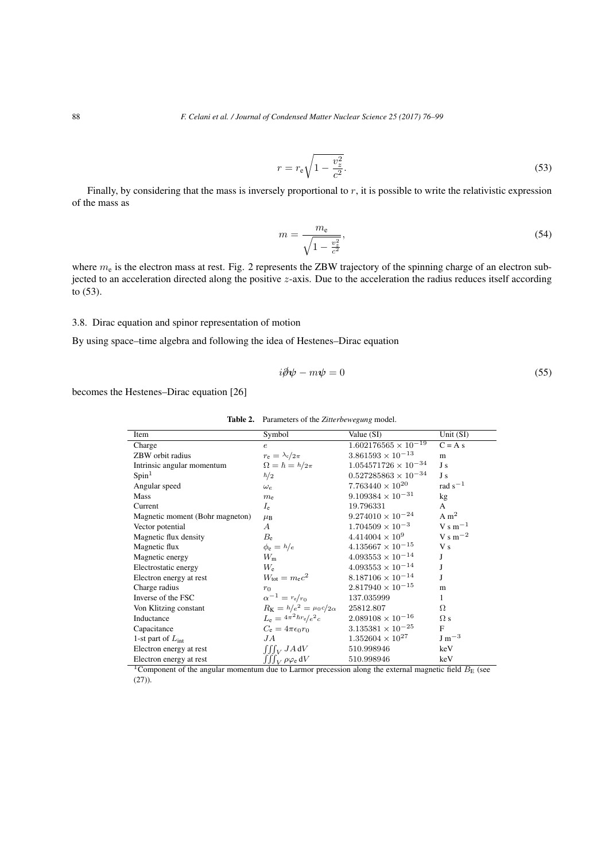$$
r = r_{\rm e} \sqrt{1 - \frac{v_z^2}{c^2}}.
$$
\n(53)

Finally, by considering that the mass is inversely proportional to *r*, it is possible to write the relativistic expression<br>he mass as<br> $m = \frac{m_e}{\sqrt{m_e}}$ , (54) of the mass as

$$
m = \frac{m_e}{\sqrt{1 - \frac{v_z^2}{c^2}}},\tag{54}
$$

where  $m_e$  is the electron mass at rest. Fig. 2 represents the ZBW trajectory of the spinning charge of an electron subjected to an acceleration directed along the positive *z*-axis. Due to the acceleration the radius reduces itself according to (53).

# 3.8. Dirac equation and spinor representation of motion

By using space–time algebra and following the idea of Hestenes–Dirac equation

$$
i\partial \psi - m\psi = 0\tag{55}
$$

becomes the Hestenes–Dirac equation [26]

| Item                            | Symbol                                 | Value (SI)                    | Unit $(SI)$                      |
|---------------------------------|----------------------------------------|-------------------------------|----------------------------------|
| Charge                          | $\epsilon$                             | $1.602176565 \times 10^{-19}$ | $C = A s$                        |
| ZBW orbit radius                | $r_{\rm e} = \lambda_{\rm c}/2\pi$     | $3.861593 \times 10^{-13}$    | m                                |
| Intrinsic angular momentum      | $\Omega = \hbar = h/2\pi$              | $1.054571726 \times 10^{-34}$ | J s                              |
| Spin <sup>1</sup>               | $\hbar/2$                              | $0.527285863\times10^{-34}$   | J s                              |
| Angular speed                   | $\omega_e$                             | $7.763440 \times 10^{20}$     | rad $s^{-1}$                     |
| Mass                            | $m_{\rm e}$                            | $9.109384 \times 10^{-31}$    | kg                               |
| Current                         | $I_{\rm e}$                            | 19.796331                     | A                                |
| Magnetic moment (Bohr magneton) | $\mu_{\rm B}$                          | $9.274010 \times 10^{-24}$    | A m <sup>2</sup>                 |
| Vector potential                | $\boldsymbol{A}$                       | $1.704509 \times 10^{-3}$     | $V \, \text{s} \, \text{m}^{-1}$ |
| Magnetic flux density           | $B_{\rm e}$                            | $4.414004 \times 10^{9}$      | $V \, \text{s} \, \text{m}^{-2}$ |
| Magnetic flux                   | $\phi_e = h/e$                         | $4.135667 \times 10^{-15}$    | V <sub>S</sub>                   |
| Magnetic energy                 | $W_{\rm m}$                            | $4.093553 \times 10^{-14}$    | J                                |
| Electrostatic energy            | $W_{\rm e}$                            | $4.093553 \times 10^{-14}$    | J                                |
| Electron energy at rest         | $W_{\text{tot}} = m_{\text{e}}c^2$     | $8.187106 \times 10^{-14}$    | J                                |
| Charge radius                   | $r_0$                                  | $2.817940 \times 10^{-15}$    | m                                |
| Inverse of the FSC              | $\alpha^{-1} = r_{e}/r_{0}$            | 137.035999                    | 1                                |
| Von Klitzing constant           | $R_{\rm K} = h/e^2 = \mu_0 c/2 \alpha$ | 25812.807                     | Ω                                |
| Inductance                      | $L_e = 4\pi^2\hbar r_e/e^2c$           | $2.089108 \times 10^{-16}$    | $\Omega$ s                       |
| Capacitance                     | $C_e = 4\pi\epsilon_0 r_0$             | $3.135381 \times 10^{-25}$    | $\mathbf{F}$                     |
| 1-st part of $L_{\text{int}}$   | JА                                     | $1.352604 \times 10^{27}$     | $J \, \mathrm{m}^{-3}$           |
| Electron energy at rest         | $\int \int_V J A dV$                   | 510.998946                    | keV                              |
| Electron energy at rest         | $\iiint_V \rho \varphi_e dV$           | 510.998946                    | keV                              |

Table 2. Parameters of the *Zitterbewegung* model.

<sup>1</sup>Component of the angular momentum due to Larmor precession along the external magnetic field  $B_{\rm E}$  (see  $(27)$ ).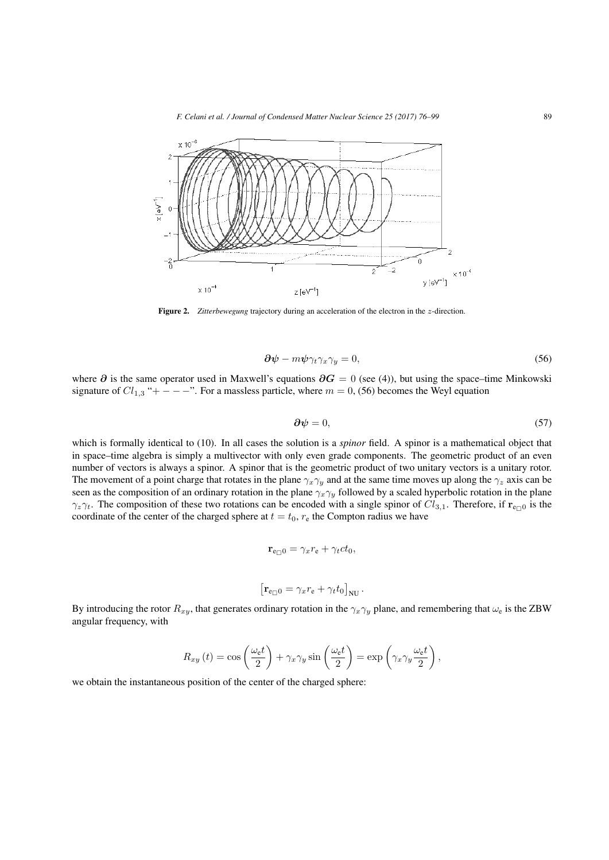*F. Celani et al. / Journal of Condensed Matter Nuclear Science 25 (2017) 76–99* 89



Figure 2. *Zitterbewegung* trajectory during an acceleration of the electron in the *z*-direction.

$$
\partial \psi - m\psi \gamma_t \gamma_x \gamma_y = 0, \tag{56}
$$

where *∂* is the same operator used in Maxwell's equations *∂G* = 0 (see (4)), but using the space–time Minkowski signature of  $Cl_{1,3}$  "+ − − <sup>-</sup>". For a massless particle, where  $m = 0$ , (56) becomes the Weyl equation

$$
\partial \psi = 0,\tag{57}
$$

which is formally identical to (10). In all cases the solution is a *spinor* field. A spinor is a mathematical object that in space–time algebra is simply a multivector with only even grade components. The geometric product of an even number of vectors is always a spinor. A spinor that is the geometric product of two unitary vectors is a unitary rotor. The movement of a point charge that rotates in the plane  $\gamma_x \gamma_y$  and at the same time moves up along the  $\gamma_z$  axis can be seen as the composition of an ordinary rotation in the plane  $\gamma_x \gamma_y$  followed by a scaled hyperbolic rotation in the plane *γ*<sub>*z*</sub>*γt*. The composition of these two rotations can be encoded with a single spinor of  $Cl_{3,1}$ . Therefore, if  $\mathbf{r}_{e \cap 0}$  is the coordinate of the center of the charged sphere at  $t = t_0$ ,  $r_e$  the Compton radius we have

$$
\mathbf{r}_{e\Box 0} = \gamma_x r_e + \gamma_t ct_0,
$$

$$
\left[\mathbf{r}_{e\Box 0}=\gamma_x r_e+\gamma_t t_0\right]_{NU}.
$$

By introducing the rotor *Rxy*, that generates ordinary rotation in the *γxγ<sup>y</sup>* plane, and remembering that *ω*<sup>e</sup> is the ZBW angular frequency, with *R<sub><i>xy*</sub></sub> (*t*) = cos  $\left(\frac{\omega_e t}{2}\right) + \gamma_x \gamma_y \sin\left(\frac{\omega_e t}{2}\right) = \exp\left(\frac{R_x}{2}t + \gamma_x \gamma_y \sin\left(\frac{\omega_e t}{2}\right)\right)$ 

$$
R_{xy}(t) = \cos\left(\frac{\omega_e t}{2}\right) + \gamma_x \gamma_y \sin\left(\frac{\omega_e t}{2}\right) = \exp\left(\gamma_x \gamma_y \frac{\omega_e t}{2}\right),
$$

we obtain the instantaneous position of the center of the charged sphere: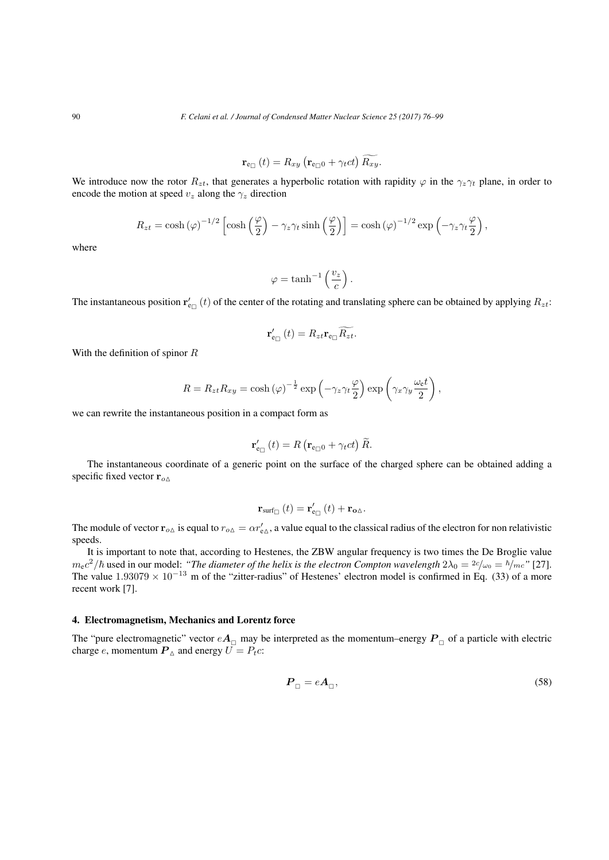Journal of Condensed Matter Nuclear Science

\n
$$
\mathbf{r}_{\mathbf{e}_{\Box}}(t) = R_{xy} \left( \mathbf{r}_{\mathbf{e}_{\Box}0} + \gamma_t ct \right) \widetilde{R_{xy}}.
$$

We introduce now the rotor  $R_{zt}$ , that generates a hyperbolic rotation with rapidity  $\varphi$  in the  $\gamma_z \gamma_t$  plane, in order to encode the motion at speed  $v_z$  along the  $\gamma_z$  direction cosh  $\left(\frac{\varphi}{2}\right) - \gamma_z \gamma_t \sinh\left(\frac{\varphi}{2}\right) = \cosh(\varphi)^{-1/2} \exp\left(\frac{\varphi}{2}\right)$ 

$$
R_{zt} = \cosh(\varphi)^{-1/2} \left[ \cosh\left(\frac{\varphi}{2}\right) - \gamma_z \gamma_t \sinh\left(\frac{\varphi}{2}\right) \right] = \cosh(\varphi)^{-1/2} \exp\left(-\gamma_z \gamma_t \frac{\varphi}{2}\right),
$$

where

$$
\varphi = \tanh^{-1}\left(\frac{v_z}{c}\right).
$$

The instantaneous position  $\mathbf{r}'_{e\Box}(t)$  of the center of the rotating and translating sphere can be obtained by applying  $R_{zt}$ :

of the rotating and tran
$$
\int_{e_{\square}} f \cdot \int_{e_{\square}} f \cdot \int_{e_{\square}} f \cdot \int_{e_{\square}} f \cdot \int_{e_{\square}} f \cdot \int_{e_{\square}} f \cdot \int_{e_{\square}} f \cdot \int_{e_{\square}} f \cdot \int_{e_{\square}} f \cdot \int_{e_{\square}} f \cdot \int_{e_{\square}} f \cdot \int_{e_{\square}} f \cdot \int_{e_{\square}} f \cdot \int_{e_{\square}} f \cdot \int_{e_{\square}} f \cdot \int_{e_{\square}} f \cdot \int_{e_{\square}} f \cdot \int_{e_{\square}} f \cdot \int_{e_{\square}} f \cdot \int_{e_{\square}} f \cdot \int_{e_{\square}} f \cdot \int_{e_{\square}} f \cdot \int_{e_{\square}} f \cdot \int_{e_{\square}} f \cdot \int_{e_{\square}} f \cdot \int_{e_{\square}} f \cdot \int_{e_{\square}} f \cdot \int_{e_{\square}} f \cdot \int_{e_{\square}} f \cdot \int_{e_{\square}} f \cdot \int_{e_{\square}} f \cdot \int_{e_{\square}} f \cdot \int_{e_{\square}} f \cdot \int_{e_{\square}} f \cdot \int_{e_{\square}} f \cdot \int_{e_{\square}} f \cdot \int_{e_{\square}} f \cdot \int_{e_{\square}} f \cdot \int_{e_{\square}} f \cdot \int_{e_{\square}} f \cdot \int_{e_{\square}} f \cdot \int_{e_{\square}} f \cdot \int_{e_{\square}} f \cdot \int_{e_{\square}} f \cdot \int_{e_{\square}} f \cdot \int_{e_{\square}} f \cdot \int_{e_{\square}} f \cdot \int_{e_{\square}} f \cdot \int_{e_{\square}} f \cdot \int_{e_{\square}} f \cdot \int_{e_{\square}} f \cdot \int_{e_{\square}} f \cdot \int_{e_{\square}} f \cdot \int_{e_{\square}} f \cdot \int_{e_{\square}} f \cdot \int_{e_{\square}} f \cdot \int_{e_{\square}} f \cdot \int_{e_{\square}} f \cdot \int_{e_{\square}} f \cdot \int_{e_{\square}} f \cdot \int_{e_{\square}} f \cdot \int_{e_{\square}} f \cdot \int_{e_{\square}} f \cdot \int_{e_{\square}} f \cdot \int_{e_{\square}} f \cdot \int_{e_{\square}} f \cdot \int_{e_{\square}} f \cdot \int_{e_{\square}} f \cdot \int_{e_{\square
$$

With the definition of spinor *R*

$$
\mathbf{r}'_{\mathbf{e}_{\Box}}(t) = R_{zt}\mathbf{r}_{\mathbf{e}_{\Box}}\widetilde{R_{zt}}.
$$
\nor  $R$ 

\n
$$
R = R_{zt}R_{xy} = \cosh(\varphi)^{-\frac{1}{2}}\exp\left(-\gamma_{z}\gamma_{t}\frac{\varphi}{2}\right)\exp\left(\gamma_{x}\gamma_{y}\frac{\omega_{\mathbf{e}}t}{2}\right),
$$
\nneous position in a compact form as

\n
$$
\mathbf{r}'_{\mathbf{e}_{\Box}}(t) = R\left(\mathbf{r}_{\mathbf{e}_{\Box}0} + \gamma_{t}ct\right)\widetilde{R}.
$$

we can rewrite the instantaneous position in a compact form as

a compact form as  
\n
$$
\mathbf{r}'_{e_{\Box}}(t) = R \left( \mathbf{r}_{e_{\Box} 0} + \gamma_t ct \right) \widetilde{R}.
$$

The instantaneous coordinate of a generic point on the surface of the charged sphere can be obtained adding a specific fixed vector **r***o*△

$$
\mathbf{r}_{\text{surf}_{\Box}}\left(t\right) = \mathbf{r}_{\mathbf{e}_{\Box}}'\left(t\right) + \mathbf{r}_{\mathbf{o}\Delta}.
$$

The module of vector  $r_{o\Delta}$  is equal to  $r_{o\Delta} = \alpha r'_{e\Delta}$ , a value equal to the classical radius of the electron for non relativistic speeds.

It is important to note that, according to Hestenes, the ZBW angular frequency is two times the De Broglie value  $m_{\rm e}c^2/\hbar$  used in our model: *"The diameter of the helix is the electron Compton wavelength*  $2\lambda_0 = \frac{2c}{\omega_0} = \hbar/mc$ " [27]. The value  $1.93079 \times 10^{-13}$  m of the "zitter-radius" of Hestenes' electron model is confirmed in Eq. (33) of a more recent work [7].

# 4. Electromagnetism, Mechanics and Lorentz force

The "pure electromagnetic" vector  $eA_{\Box}$  may be interpreted as the momentum–energy  $P_{\Box}$  of a particle with electric charge *e*, momentum  $P_{\Delta}$  and energy  $U = P_t c$ :

$$
\boldsymbol{P}_{\Box} = e\boldsymbol{A}_{\Box},\tag{58}
$$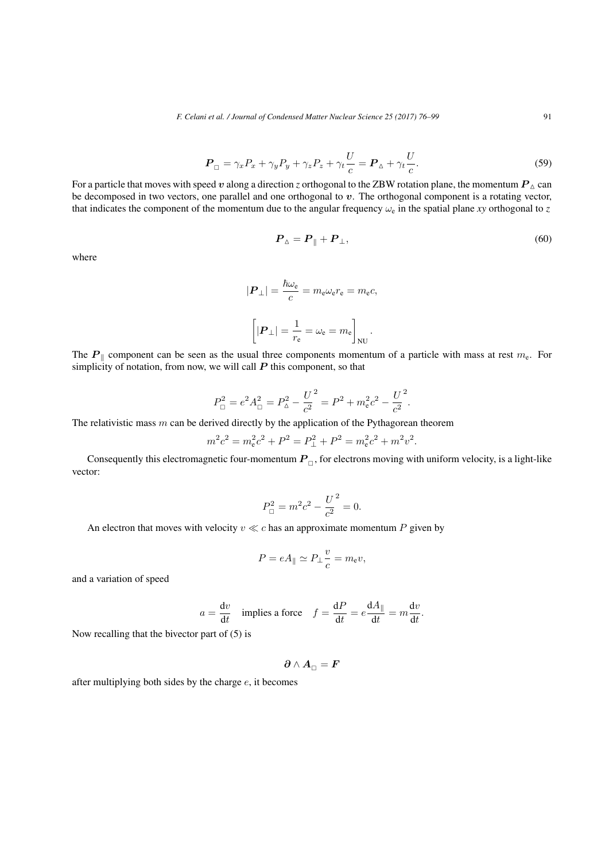$$
\boldsymbol{P}_{\Box} = \gamma_x P_x + \gamma_y P_y + \gamma_z P_z + \gamma_t \frac{U}{c} = \boldsymbol{P}_{\Delta} + \gamma_t \frac{U}{c}.
$$
\n<sup>(59)</sup>

For a particle that moves with speed *v* along a direction *z* orthogonal to the ZBW rotation plane, the momentum  $P_{\Delta}$  can be decomposed in two vectors, one parallel and one orthogonal to *v*. The orthogonal component is a rotating vector, that indicates the component of the momentum due to the angular frequency  $\omega_e$  in the spatial plane *xy* orthogonal to *z* 

$$
\boldsymbol{P}_{\Delta} = \boldsymbol{P}_{\parallel} + \boldsymbol{P}_{\perp},\tag{60}
$$

where

$$
|\mathbf{P}_{\perp}| = \frac{\hbar \omega_{\rm e}}{c} = m_{\rm e} \omega_{\rm e} r_{\rm e} = m_{\rm e} c,
$$

$$
\left[|\mathbf{P}_{\perp}| = \frac{1}{r_{\rm e}} = \omega_{\rm e} = m_{\rm e}\right]_{\rm NU}.
$$

The *P*<sub>∥</sub> component can be seen as the usual three components momentum of a particle with mass at rest  $m_e$ . For simplicity of notation, from now, we will call *P* this component, so that

$$
P_{\Box}^{2} = e^{2} A_{\Box}^{2} = P_{\Delta}^{2} - \frac{U^{2}}{c^{2}} = P^{2} + m_{e}^{2} c^{2} - \frac{U^{2}}{c^{2}}.
$$

The relativistic mass *m* can be derived directly by the application of the Pythagorean theorem

$$
m^{2}c^{2} = m_{e}^{2}c^{2} + P^{2} = P_{\perp}^{2} + P^{2} = m_{e}^{2}c^{2} + m^{2}v^{2}.
$$

Consequently this electromagnetic four-momentum  $P_{\Box}$ , for electrons moving with uniform velocity, is a light-like vector:

$$
P_{\Box}^2 = m^2 c^2 - \frac{U^2}{c^2} = 0.
$$

An electron that moves with velocity  $v \ll c$  has an approximate momentum  $P$  given by

$$
P = eA_{\parallel} \simeq P_{\perp} \frac{v}{c} = m_{\rm e}v,
$$

and a variation of speed

$$
a = \frac{dv}{dt}
$$
 implies a force  $f = \frac{dP}{dt} = e \frac{dA_{\parallel}}{dt} = m \frac{dv}{dt}$ .

Now recalling that the bivector part of (5) is

$$
\boldsymbol{\partial}\wedge\boldsymbol{A}_{\Box}=\boldsymbol{F}
$$

after multiplying both sides by the charge *e*, it becomes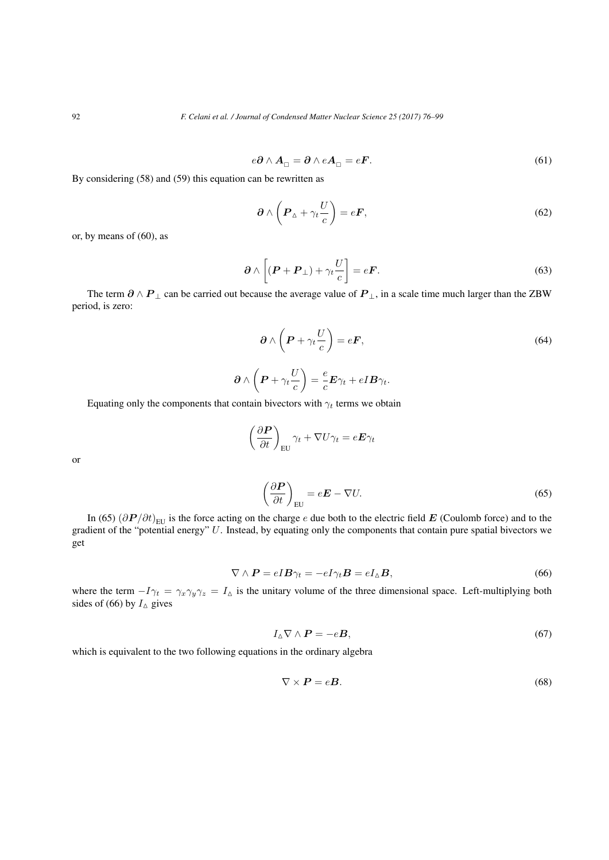$$
e\partial \wedge A_{\Box} = \partial \wedge eA_{\Box} = eF. \tag{61}
$$

By considering (58) and (59) this equation can be rewritten as

$$
\partial \wedge \left( P_{\Delta} + \gamma_t \frac{U}{c} \right) = e \mathbf{F}, \tag{62}
$$

or, by means of (60), as

$$
\partial \wedge \left[ (\boldsymbol{P} + \boldsymbol{P}_{\perp}) + \gamma_t \frac{U}{c} \right] = e \boldsymbol{F}.
$$
\n(63)

The term  $\partial \wedge P_{\perp}$  can be carried out because the average value of  $P_{\perp}$ , in a scale time much larger than the ZBW period, is zero:

$$
\partial \wedge \left( P + \gamma_t \frac{U}{c} \right) = eF, \tag{64}
$$

$$
\partial \wedge \left(P + \gamma_t \frac{U}{c}\right) = \frac{e}{c} \boldsymbol{E} \gamma_t + e \boldsymbol{I} \boldsymbol{B} \gamma_t.
$$

Equating only the components that contain bivectors with  $\gamma_t$  terms we obtain

$$
\begin{aligned}\n\langle \left( \boldsymbol{P} + \gamma_t \frac{\partial}{\partial t} \right) &= \frac{\epsilon}{c} \boldsymbol{E} \gamma_t + e \boldsymbol{I} \boldsymbol{B} \gamma_t \\
\text{tain bivectors with } \gamma_t \text{ terms we obtain} \\
\left( \frac{\partial \boldsymbol{P}}{\partial t} \right)_{\text{EU}} \gamma_t + \nabla U \gamma_t &= e \boldsymbol{E} \gamma_t \\
\left( \frac{\partial \boldsymbol{P}}{\partial t} \right)_{\text{EU}} &= e \boldsymbol{E} - \nabla U.\n\end{aligned}
$$

or

$$
\left(\frac{\partial \boldsymbol{P}}{\partial t}\right)_{\text{EU}} = e\boldsymbol{E} - \nabla U. \tag{65}
$$

In (65)  $(\partial P/\partial t)_{\text{EU}}$  is the force acting on the charge *e* due both to the electric field *E* (Coulomb force) and to the gradient of the "potential energy" *U*. Instead, by equating only the components that contain pure spatial bivectors we get

$$
\nabla \wedge \boldsymbol{P} = e \boldsymbol{I} \boldsymbol{B} \gamma_t = -e \boldsymbol{I} \gamma_t \boldsymbol{B} = e \boldsymbol{I}_{\Delta} \boldsymbol{B},\tag{66}
$$

where the term  $-I\gamma_t = \gamma_x \gamma_y \gamma_z = I_\Delta$  is the unitary volume of the three dimensional space. Left-multiplying both sides of (66) by  $I_{\Delta}$  gives

$$
I_{\mathbf{\Delta}} \nabla \wedge \mathbf{P} = -e\mathbf{B},\tag{67}
$$

which is equivalent to the two following equations in the ordinary algebra

$$
\nabla \times \boldsymbol{P} = e\boldsymbol{B}.\tag{68}
$$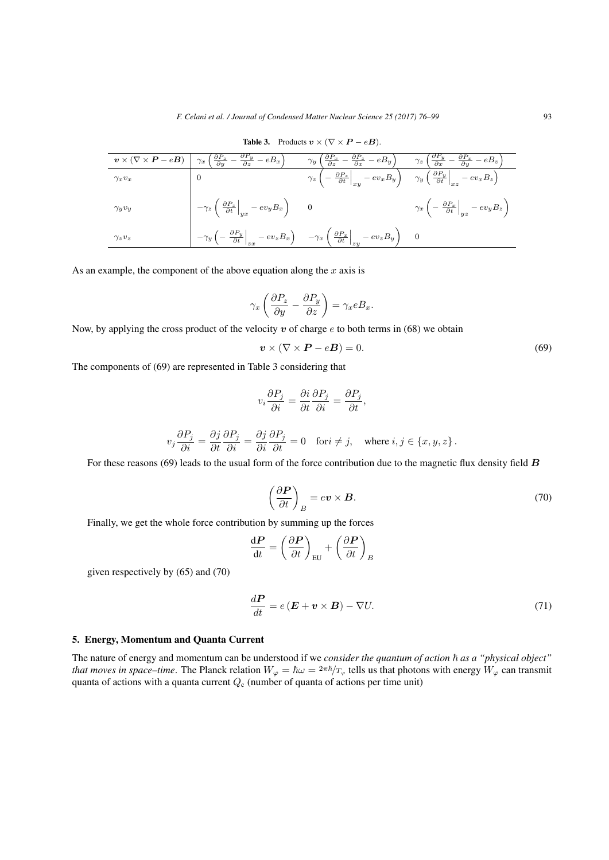| $\bm{v}\times(\nabla\times\bm{P}-e\bm{B})$ | $\left(\frac{\partial P_z}{\partial y} - \frac{\partial P_y}{\partial z} - eB_x\right)$<br>$\gamma_x$                                                                                        | $\left(\frac{\partial P_x}{\partial z} - \frac{\partial P_z}{\partial x} - eB_y\right)$<br>$\gamma_{y}$                                                                             | $\left(\frac{\partial P_y}{\partial x} - \frac{\partial P_x}{\partial y} - eB_z\right)$<br>$\gamma_z$ ( |
|--------------------------------------------|----------------------------------------------------------------------------------------------------------------------------------------------------------------------------------------------|-------------------------------------------------------------------------------------------------------------------------------------------------------------------------------------|---------------------------------------------------------------------------------------------------------|
| $\gamma_x v_x$                             |                                                                                                                                                                                              | $\gamma_z\left(-\left.\frac{\partial P_z}{\partial t}\right _{xy}-ev_xB_y\right) \quad \left.\gamma_y\left(\left.\frac{\partial P_y}{\partial t}\right _{xz}-ev_xB_z\right)\right.$ |                                                                                                         |
| $\gamma_y v_y$                             | $-\gamma_z \left( \left. \frac{\partial P_z}{\partial t}\right _{yx} - ev_y B_x \right)$ 0                                                                                                   |                                                                                                                                                                                     | $\gamma_x \left( -\left. \frac{\partial P_x}{\partial t} \right _{yz} - ev_y B_z \ \right)$             |
| $\gamma_z v_z$                             | $-\gamma_y\left(-\left.\frac{\partial P_y}{\partial t}\right _{zx}-ev_zB_x\right) \quad \left.-\gamma_x\left(\left.\frac{\partial P_x}{\partial t}\right _{zy}-ev_zB_y\right)\right.\quad 0$ |                                                                                                                                                                                     |                                                                                                         |

Table 3. Products  $v \times (\nabla \times P - eB)$ .

As an example, the component of the above equation along the *x* axis is

equation along the x axis is  
\n
$$
\gamma_x \left( \frac{\partial P_z}{\partial y} - \frac{\partial P_y}{\partial z} \right) = \gamma_x e B_x.
$$

Now, by applying the cross product of the velocity *v* of charge *e* to both terms in (68) we obtain

$$
\mathbf{v} \times (\nabla \times \mathbf{P} - e\mathbf{B}) = 0. \tag{69}
$$

The components of (69) are represented in Table 3 considering that

$$
v_i \frac{\partial P_j}{\partial i} = \frac{\partial i}{\partial t} \frac{\partial P_j}{\partial i} = \frac{\partial P_j}{\partial t},
$$

$$
v_j \frac{\partial P_j}{\partial i} = \frac{\partial j}{\partial t} \frac{\partial P_j}{\partial i} = \frac{\partial j}{\partial i} \frac{\partial P_j}{\partial t} = 0 \quad \text{for } i \neq j, \quad \text{where } i, j \in \{x, y, z\}.
$$

For these reasons (69) leads to the usual form of the force contribution due to the magnetic flux density field *B*

$$
\frac{\partial P_j}{\partial t} = 0 \quad \text{for } i \neq j, \quad \text{where } i, j \in \{x, y, z\}.
$$
\nto the force contribution due to the magnetic flux density field  $\mathbf{B}$ .

\n
$$
\left(\frac{\partial \mathbf{P}}{\partial t}\right)_B = e \mathbf{v} \times \mathbf{B}.
$$
\n(70)

\nby summing up the forces

\n
$$
= \left(\frac{\partial \mathbf{P}}{\partial t}\right)_{\text{EII}} + \left(\frac{\partial \mathbf{P}}{\partial t}\right)_B
$$

Finally, we get the whole force contribution by summing up the forces

$$
\frac{\mathrm{d}P}{\mathrm{d}t} = \left(\frac{\partial P}{\partial t}\right)_{\text{EU}} + \left(\frac{\partial P}{\partial t}\right)_{B}
$$

given respectively by (65) and (70)

$$
\frac{d\boldsymbol{P}}{dt} = e(\boldsymbol{E} + \boldsymbol{v} \times \boldsymbol{B}) - \nabla U. \tag{71}
$$

# 5. Energy, Momentum and Quanta Current

The nature of energy and momentum can be understood if we *consider the quantum of action*  $\hbar$  as a "physical object" *that moves in space–time.* The Planck relation  $W_{\varphi} = \hbar \omega = \frac{2\pi \hbar}{T_{\varphi}}$  tells us that photons with energy  $W_{\varphi}$  can transmit quanta of actions with a quanta current *Q*<sup>c</sup> (number of quanta of actions per time unit)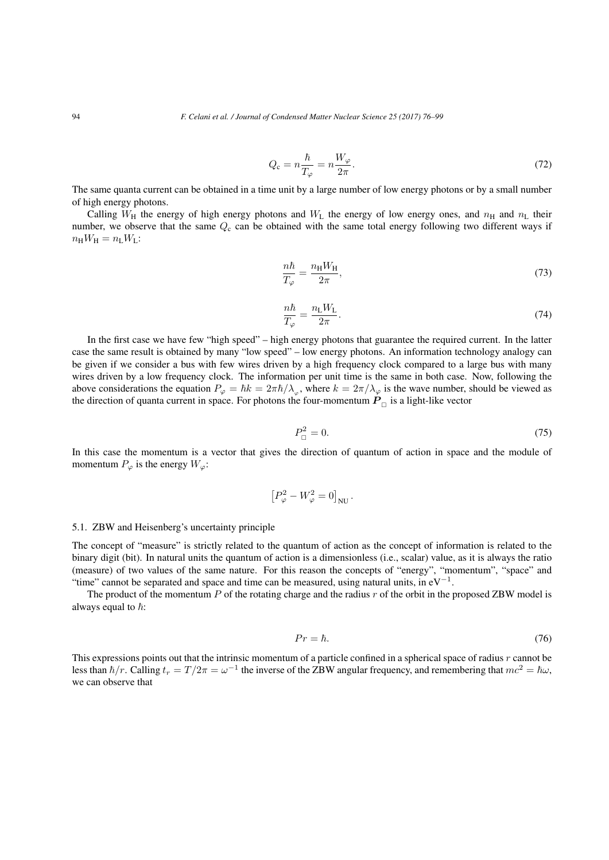$$
Q_{\rm c} = n \frac{\hbar}{T_{\varphi}} = n \frac{W_{\varphi}}{2\pi}.
$$
\n(72)

The same quanta current can be obtained in a time unit by a large number of low energy photons or by a small number of high energy photons.

Calling  $W_H$  the energy of high energy photons and  $W_L$  the energy of low energy ones, and  $n_H$  and  $n_L$  their number, we observe that the same  $Q_c$  can be obtained with the same total energy following two different ways if  $n_HW_H = n_LW_L$ :

$$
\frac{n\hbar}{T_{\varphi}} = \frac{n_{\rm H}W_{\rm H}}{2\pi},\tag{73}
$$

$$
\frac{n\hbar}{T_{\varphi}} = \frac{n_{\rm L}W_{\rm L}}{2\pi}.\tag{74}
$$

In the first case we have few "high speed" – high energy photons that guarantee the required current. In the latter case the same result is obtained by many "low speed" – low energy photons. An information technology analogy can be given if we consider a bus with few wires driven by a high frequency clock compared to a large bus with many wires driven by a low frequency clock. The information per unit time is the same in both case. Now, following the above considerations the equation  $P_{\varphi} = \hbar k = 2\pi \hbar / \lambda_{\varphi}$ , where  $k = 2\pi / \lambda_{\varphi}$  is the wave number, should be viewed as the direction of quanta current in space. For photons the four-momentum  $P_{\Box}$  is a light-like vector

$$
P_{\square}^2 = 0.\tag{75}
$$

In this case the momentum is a vector that gives the direction of quantum of action in space and the module of momentum  $P_{\varphi}$  is the energy  $W_{\varphi}$ : ves the direction<br> $\left[P_{\varphi}^2 - W_{\varphi}^2 = 0\right]$ 

$$
\left[P_{\varphi}^2 - W_{\varphi}^2 = 0\right]_{\rm NU}.
$$

## 5.1. ZBW and Heisenberg's uncertainty principle

The concept of "measure" is strictly related to the quantum of action as the concept of information is related to the binary digit (bit). In natural units the quantum of action is a dimensionless (i.e., scalar) value, as it is always the ratio (measure) of two values of the same nature. For this reason the concepts of "energy", "momentum", "space" and "time" cannot be separated and space and time can be measured, using natural units, in eV*−*<sup>1</sup> .

The product of the momentum *P* of the rotating charge and the radius *r* of the orbit in the proposed ZBW model is always equal to  $\hbar$ :

$$
Pr = \hbar. \tag{76}
$$

This expressions points out that the intrinsic momentum of a particle confined in a spherical space of radius *r* cannot be less than  $\hbar/r$ . Calling  $t_r = T/2\pi = \omega^{-1}$  the inverse of the ZBW angular frequency, and remembering that  $mc^2 = \hbar\omega$ , we can observe that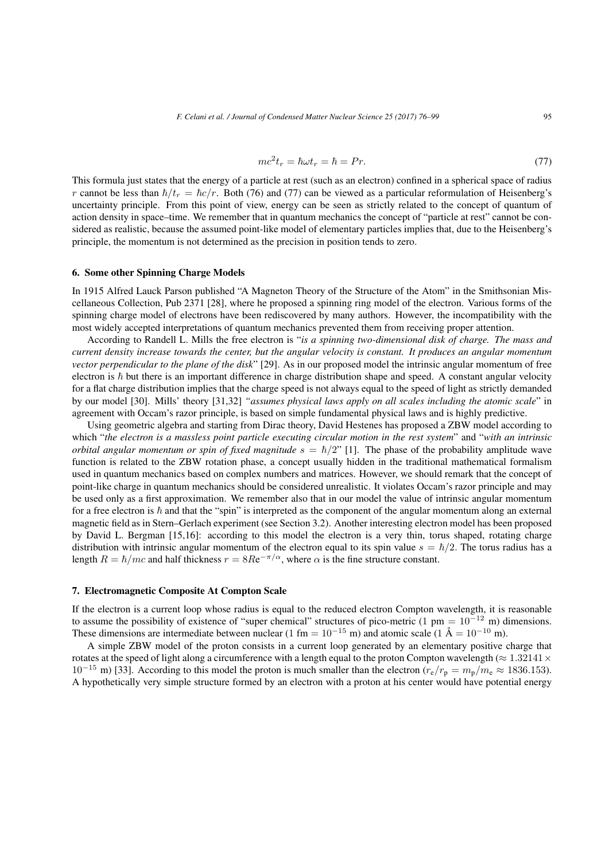$$
mc^2t_r = \hbar\omega t_r = \hbar = Pr. \tag{77}
$$

This formula just states that the energy of a particle at rest (such as an electron) confined in a spherical space of radius *r* cannot be less than  $\hbar/t_r = \hbar c/r$ . Both (76) and (77) can be viewed as a particular reformulation of Heisenberg's uncertainty principle. From this point of view, energy can be seen as strictly related to the concept of quantum of action density in space–time. We remember that in quantum mechanics the concept of "particle at rest" cannot be considered as realistic, because the assumed point-like model of elementary particles implies that, due to the Heisenberg's principle, the momentum is not determined as the precision in position tends to zero.

## 6. Some other Spinning Charge Models

In 1915 Alfred Lauck Parson published "A Magneton Theory of the Structure of the Atom" in the Smithsonian Miscellaneous Collection, Pub 2371 [28], where he proposed a spinning ring model of the electron. Various forms of the spinning charge model of electrons have been rediscovered by many authors. However, the incompatibility with the most widely accepted interpretations of quantum mechanics prevented them from receiving proper attention.

According to Randell L. Mills the free electron is "*is a spinning two-dimensional disk of charge. The mass and current density increase towards the center, but the angular velocity is constant. It produces an angular momentum vector perpendicular to the plane of the disk*" [29]. As in our proposed model the intrinsic angular momentum of free electron is  $\hbar$  but there is an important difference in charge distribution shape and speed. A constant angular velocity for a flat charge distribution implies that the charge speed is not always equal to the speed of light as strictly demanded by our model [30]. Mills' theory [31,32] *"assumes physical laws apply on all scales including the atomic scale*" in agreement with Occam's razor principle, is based on simple fundamental physical laws and is highly predictive.

Using geometric algebra and starting from Dirac theory, David Hestenes has proposed a ZBW model according to which "*the electron is a massless point particle executing circular motion in the rest system*" and "*with an intrinsic orbital angular momentum or spin of fixed magnitude*  $s = \hbar/2$ " [1]. The phase of the probability amplitude wave function is related to the ZBW rotation phase, a concept usually hidden in the traditional mathematical formalism used in quantum mechanics based on complex numbers and matrices. However, we should remark that the concept of point-like charge in quantum mechanics should be considered unrealistic. It violates Occam's razor principle and may be used only as a first approximation. We remember also that in our model the value of intrinsic angular momentum for a free electron is  $\hbar$  and that the "spin" is interpreted as the component of the angular momentum along an external magnetic field as in Stern–Gerlach experiment (see Section 3.2). Another interesting electron model has been proposed by David L. Bergman [15,16]: according to this model the electron is a very thin, torus shaped, rotating charge distribution with intrinsic angular momentum of the electron equal to its spin value  $s = \hbar/2$ . The torus radius has a length  $R = \hbar/mc$  and half thickness  $r = 8Re^{-\pi/\alpha}$ , where  $\alpha$  is the fine structure constant.

### 7. Electromagnetic Composite At Compton Scale

If the electron is a current loop whose radius is equal to the reduced electron Compton wavelength, it is reasonable to assume the possibility of existence of "super chemical" structures of pico-metric (1 pm = 10*−*<sup>12</sup> m) dimensions. These dimensions are intermediate between nuclear (1 fm =  $10^{-15}$  m) and atomic scale (1 Å =  $10^{-10}$  m).

A simple ZBW model of the proton consists in a current loop generated by an elementary positive charge that rotates at the speed of light along a circumference with a length equal to the proton Compton wavelength (*≈* 1*.*32141*×* 10<sup>−15</sup> m) [33]. According to this model the proton is much smaller than the electron  $(r_e/r_p = m_p/m_e ≈ 1836.153)$ . A hypothetically very simple structure formed by an electron with a proton at his center would have potential energy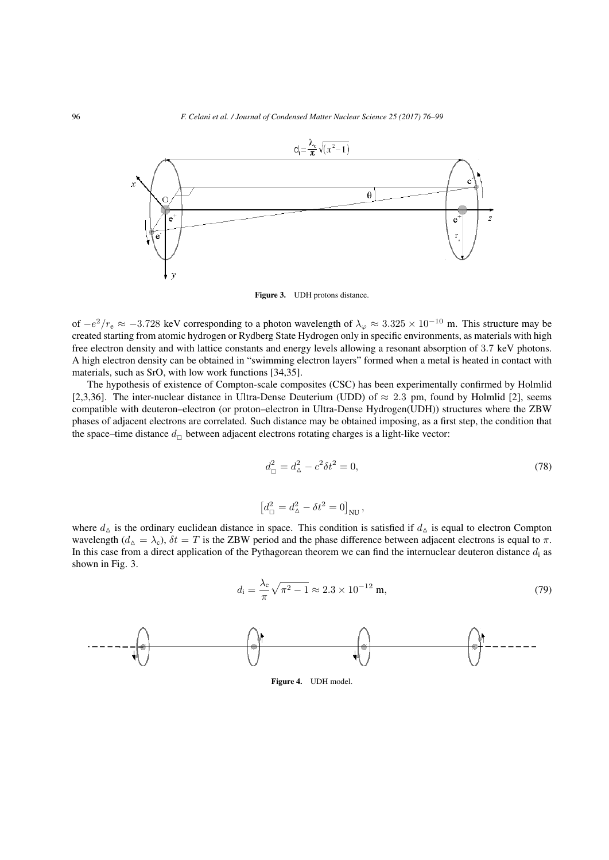

Figure 3. UDH protons distance.

of *−e* <sup>2</sup>*/r*<sup>e</sup> *≈ −*3*.*728 keV corresponding to a photon wavelength of *λ<sup>φ</sup> ≈* 3*.*325 *×* 10*−*<sup>10</sup> m. This structure may be created starting from atomic hydrogen or Rydberg State Hydrogen only in specific environments, as materials with high free electron density and with lattice constants and energy levels allowing a resonant absorption of 3*.*7 keV photons. A high electron density can be obtained in "swimming electron layers" formed when a metal is heated in contact with materials, such as SrO, with low work functions [34,35].

The hypothesis of existence of Compton-scale composites (CSC) has been experimentally confirmed by Holmlid [2,3,36]. The inter-nuclear distance in Ultra-Dense Deuterium (UDD) of *≈* 2*.*3 pm, found by Holmlid [2], seems compatible with deuteron–electron (or proton–electron in Ultra-Dense Hydrogen(UDH)) structures where the ZBW phases of adjacent electrons are correlated. Such distance may be obtained imposing, as a first step, the condition that the space–time distance  $d_{\Box}$  between adjacent electrons rotating charges is a light-like vector:

$$
d_{\square}^{2} = d_{\triangle}^{2} - c^{2} \delta t^{2} = 0,
$$
\n
$$
d_{\square}^{2} = d_{\triangle}^{2} - \delta t^{2} = 0 \Big|_{\text{NU}} ,
$$
\n(78)

$$
\left[d_{\square}^2 = d_{\triangle}^2 - \delta t^2 = 0\right]_{\text{NU}},
$$

where  $d_{\Delta}$  is the ordinary euclidean distance in space. This condition is satisfied if  $d_{\Delta}$  is equal to electron Compton wavelength ( $d_{\Delta} = \lambda_c$ ),  $\delta t = T$  is the ZBW period and the phase difference between adjacent electrons is equal to  $\pi$ . In this case from a direct application of the Pythagorean theorem we can find the internuclear deuteron distance  $d_i$  as shown in Fig. 3.

$$
d_{\rm i} = \frac{\lambda_{\rm c}}{\pi} \sqrt{\pi^2 - 1} \approx 2.3 \times 10^{-12} \,\mathrm{m},\tag{79}
$$



Figure 4. UDH model.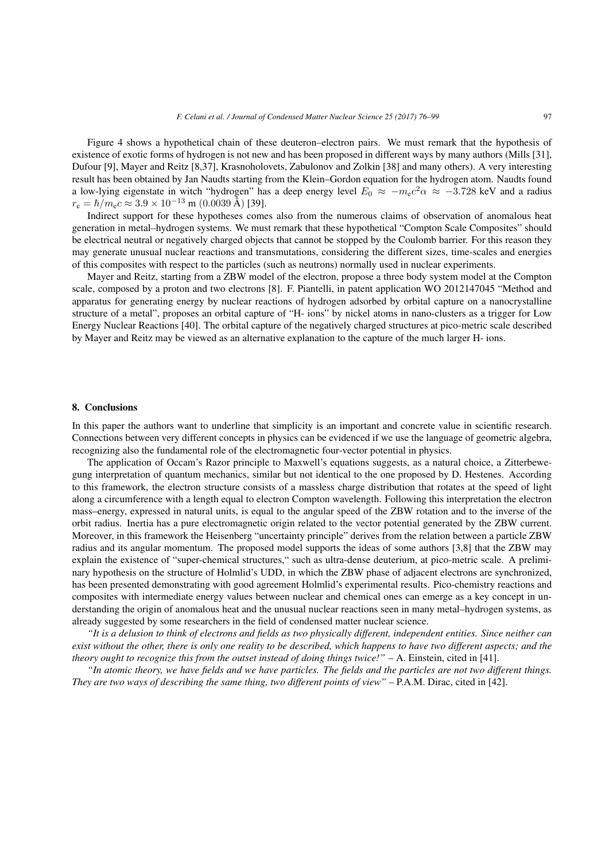Figure 4 shows a hypothetical chain of these deuteron–electron pairs. We must remark that the hypothesis of existence of exotic forms of hydrogen is not new and has been proposed in different ways by many authors (Mills [31], Dufour [9], Mayer and Reitz [8,37], Krasnoholovets, Zabulonov and Zolkin [38] and many others). A very interesting result has been obtained by Jan Naudts starting from the Klein–Gordon equation for the hydrogen atom. Naudts found a low-lying eigenstate in witch "hydrogen" has a deep energy level *E*<sup>0</sup> *≈ −m*e*c* <sup>2</sup>*α ≈ −*3*.*728 keV and a radius  $r_e = \hbar/m_e c \approx 3.9 \times 10^{-13}$  m (0.0039 Å) [39].

Indirect support for these hypotheses comes also from the numerous claims of observation of anomalous heat generation in metal–hydrogen systems. We must remark that these hypothetical "Compton Scale Composites" should be electrical neutral or negatively charged objects that cannot be stopped by the Coulomb barrier. For this reason they may generate unusual nuclear reactions and transmutations, considering the different sizes, time-scales and energies of this composites with respect to the particles (such as neutrons) normally used in nuclear experiments.

Mayer and Reitz, starting from a ZBW model of the electron, propose a three body system model at the Compton scale, composed by a proton and two electrons [8]. F. Piantelli, in patent application WO 2012147045 "Method and apparatus for generating energy by nuclear reactions of hydrogen adsorbed by orbital capture on a nanocrystalline structure of a metal", proposes an orbital capture of "H- ions" by nickel atoms in nano-clusters as a trigger for Low Energy Nuclear Reactions [40]. The orbital capture of the negatively charged structures at pico-metric scale described by Mayer and Reitz may be viewed as an alternative explanation to the capture of the much larger H- ions.

## 8. Conclusions

In this paper the authors want to underline that simplicity is an important and concrete value in scientific research. Connections between very different concepts in physics can be evidenced if we use the language of geometric algebra, recognizing also the fundamental role of the electromagnetic four-vector potential in physics.

The application of Occam's Razor principle to Maxwell's equations suggests, as a natural choice, a Zitterbewegung interpretation of quantum mechanics, similar but not identical to the one proposed by D. Hestenes. According to this framework, the electron structure consists of a massless charge distribution that rotates at the speed of light along a circumference with a length equal to electron Compton wavelength. Following this interpretation the electron mass–energy, expressed in natural units, is equal to the angular speed of the ZBW rotation and to the inverse of the orbit radius. Inertia has a pure electromagnetic origin related to the vector potential generated by the ZBW current. Moreover, in this framework the Heisenberg "uncertainty principle" derives from the relation between a particle ZBW radius and its angular momentum. The proposed model supports the ideas of some authors [3,8] that the ZBW may explain the existence of "super-chemical structures," such as ultra-dense deuterium, at pico-metric scale. A preliminary hypothesis on the structure of Holmlid's UDD, in which the ZBW phase of adjacent electrons are synchronized, has been presented demonstrating with good agreement Holmlid's experimental results. Pico-chemistry reactions and composites with intermediate energy values between nuclear and chemical ones can emerge as a key concept in understanding the origin of anomalous heat and the unusual nuclear reactions seen in many metal–hydrogen systems, as already suggested by some researchers in the field of condensed matter nuclear science.

*"It is a delusion to think of electrons and fields as two physically different, independent entities. Since neither can exist without the other, there is only one reality to be described, which happens to have two different aspects; and the theory ought to recognize this from the outset instead of doing things twice!"* – A. Einstein, cited in [41].

*"In atomic theory, we have fields and we have particles. The fields and the particles are not two different things. They are two ways of describing the same thing, two different points of view"* – P.A.M. Dirac, cited in [42].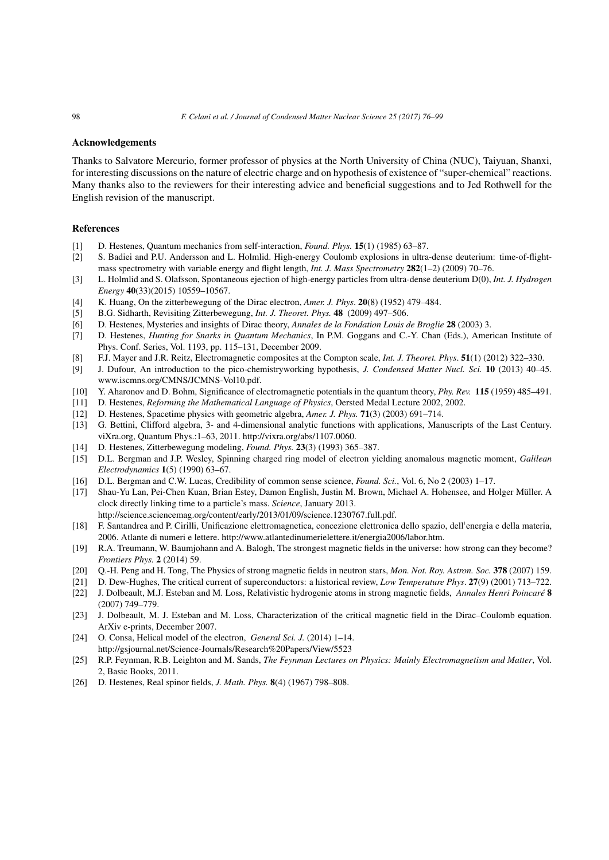## Acknowledgements

Thanks to Salvatore Mercurio, former professor of physics at the North University of China (NUC), Taiyuan, Shanxi, for interesting discussions on the nature of electric charge and on hypothesis of existence of "super-chemical" reactions. Many thanks also to the reviewers for their interesting advice and beneficial suggestions and to Jed Rothwell for the English revision of the manuscript.

# References

- [1] D. Hestenes, Quantum mechanics from self-interaction, *Found. Phys.* 15(1) (1985) 63–87.
- [2] S. Badiei and P.U. Andersson and L. Holmlid. High-energy Coulomb explosions in ultra-dense deuterium: time-of-flightmass spectrometry with variable energy and flight length, *Int. J. Mass Spectrometry* 282(1–2) (2009) 70–76.
- [3] L. Holmlid and S. Olafsson, Spontaneous ejection of high-energy particles from ultra-dense deuterium D(0), *Int. J. Hydrogen Energy* 40(33)(2015) 10559–10567.
- [4] K. Huang, On the zitterbewegung of the Dirac electron, *Amer. J. Phys*. 20(8) (1952) 479–484.
- [5] B.G. Sidharth, Revisiting Zitterbewegung, *Int. J. Theoret. Phys.* 48 (2009) 497–506.
- [6] D. Hestenes, Mysteries and insights of Dirac theory, *Annales de la Fondation Louis de Broglie* 28 (2003) 3.
- [7] D. Hestenes, *Hunting for Snarks in Quantum Mechanics*, In P.M. Goggans and C.-Y. Chan (Eds.), American Institute of Phys. Conf. Series, Vol. 1193, pp. 115–131, December 2009.
- [8] F.J. Mayer and J.R. Reitz, Electromagnetic composites at the Compton scale, *Int. J. Theoret. Phys*. 51(1) (2012) 322–330.
- [9] J. Dufour, An introduction to the pico-chemistryworking hypothesis, *J. Condensed Matter Nucl. Sci.* 10 (2013) 40–45. www.iscmns.org/CMNS/JCMNS-Vol10.pdf.
- [10] Y. Aharonov and D. Bohm, Significance of electromagnetic potentials in the quantum theory, *Phy. Rev.* 115 (1959) 485–491.
- [11] D. Hestenes, *Reforming the Mathematical Language of Physics*, Oersted Medal Lecture 2002, 2002.
- [12] D. Hestenes, Spacetime physics with geometric algebra, *Amer. J. Phys.* 71(3) (2003) 691–714.
- [13] G. Bettini, Clifford algebra, 3- and 4-dimensional analytic functions with applications, Manuscripts of the Last Century. viXra.org, Quantum Phys.:1–63, 2011. http://vixra.org/abs/1107.0060.
- [14] D. Hestenes, Zitterbewegung modeling, *Found. Phys.* 23(3) (1993) 365–387.
- [15] D.L. Bergman and J.P. Wesley, Spinning charged ring model of electron yielding anomalous magnetic moment, *Galilean Electrodynamics* 1(5) (1990) 63–67.
- [16] D.L. Bergman and C.W. Lucas, Credibility of common sense science, *Found. Sci.*, Vol. 6, No 2 (2003) 1–17.
- [17] Shau-Yu Lan, Pei-Chen Kuan, Brian Estey, Damon English, Justin M. Brown, Michael A. Hohensee, and Holger Müller. A clock directly linking time to a particle's mass. *Science*, January 2013.
- http://science.sciencemag.org/content/early/2013/01/09/science.1230767.full.pdf. [18] F. Santandrea and P. Cirilli, Unificazione elettromagnetica, concezione elettronica dello spazio, dell'energia e della materia,
- 2006. Atlante di numeri e lettere. http://www.atlantedinumerielettere.it/energia2006/labor.htm.
- [19] R.A. Treumann, W. Baumjohann and A. Balogh, The strongest magnetic fields in the universe: how strong can they become? *Frontiers Phys.* 2 (2014) 59.
- [20] Q.-H. Peng and H. Tong, The Physics of strong magnetic fields in neutron stars, *Mon. Not. Roy. Astron. Soc.* 378 (2007) 159.
- [21] D. Dew-Hughes, The critical current of superconductors: a historical review, *Low Temperature Phys*. 27(9) (2001) 713–722. [22] J. Dolbeault, M.J. Esteban and M. Loss, Relativistic hydrogenic atoms in strong magnetic fields, *Annales Henri Poincaré* 8 (2007) 749–779.
- [23] J. Dolbeault, M. J. Esteban and M. Loss, Characterization of the critical magnetic field in the Dirac–Coulomb equation. ArXiv e-prints, December 2007.
- [24] O. Consa, Helical model of the electron, *General Sci. J.* (2014) 1–14. http://gsjournal.net/Science-Journals/Research%20Papers/View/5523
- [25] R.P. Feynman, R.B. Leighton and M. Sands, *The Feynman Lectures on Physics: Mainly Electromagnetism and Matter*, Vol. 2, Basic Books, 2011.
- [26] D. Hestenes, Real spinor fields, *J. Math. Phys.* 8(4) (1967) 798–808.